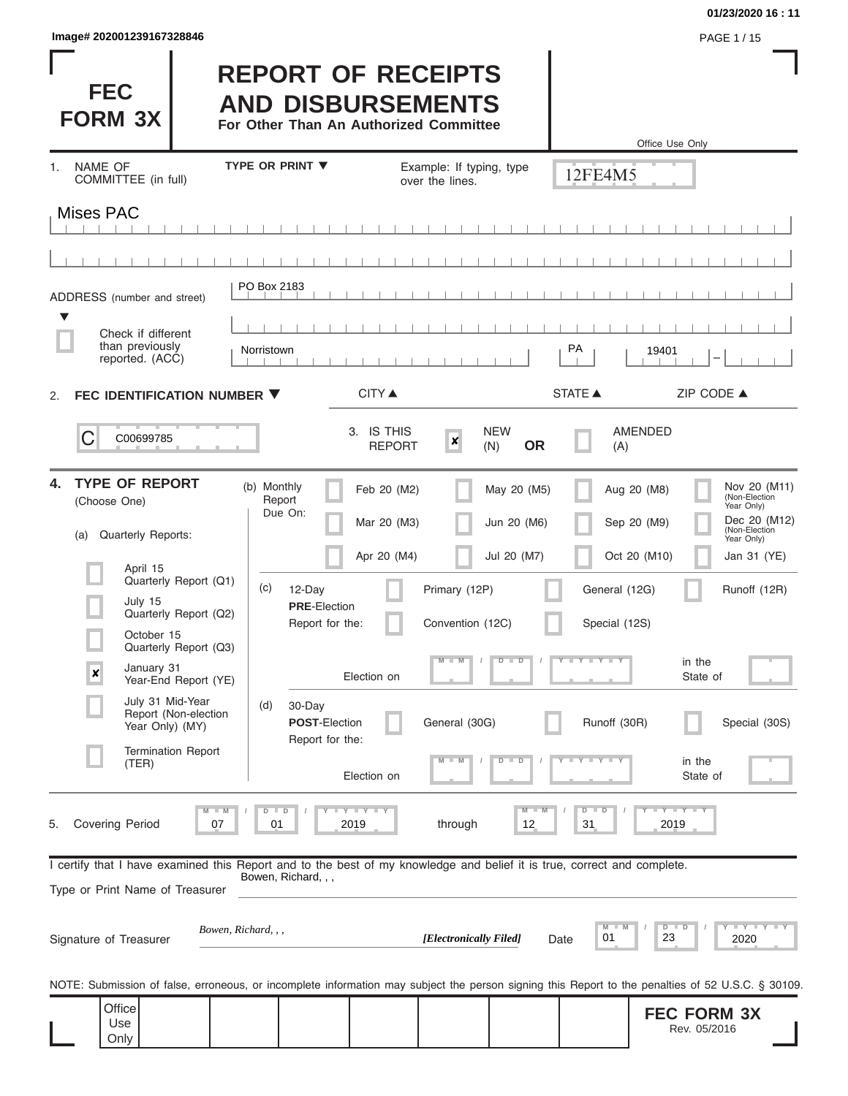| lmage# 202001239167328846 | PAGE 1/15 |
|---------------------------|-----------|
|---------------------------|-----------|

### **01/23/2020 16 : 11**

| <b>FEC</b><br><b>FORM 3X</b>                                                                                                                               |                                                                         |                                      | <b>REPORT OF RECEIPTS</b><br><b>AND DISBURSEMENTS</b><br>For Other Than An Authorized Committee |                                             |                                |                                | Office Use Only                                                                                                                                                         |
|------------------------------------------------------------------------------------------------------------------------------------------------------------|-------------------------------------------------------------------------|--------------------------------------|-------------------------------------------------------------------------------------------------|---------------------------------------------|--------------------------------|--------------------------------|-------------------------------------------------------------------------------------------------------------------------------------------------------------------------|
| <b>NAME OF</b><br>1.<br>COMMITTEE (in full)                                                                                                                |                                                                         | <b>TYPE OR PRINT ▼</b>               |                                                                                                 | Example: If typing, type<br>over the lines. |                                | 12FE4M5                        |                                                                                                                                                                         |
| <b>Mises PAC</b>                                                                                                                                           |                                                                         |                                      |                                                                                                 |                                             |                                |                                |                                                                                                                                                                         |
|                                                                                                                                                            |                                                                         |                                      |                                                                                                 |                                             |                                |                                |                                                                                                                                                                         |
| ADDRESS (number and street)<br>▼                                                                                                                           |                                                                         | PO Box 2183                          |                                                                                                 |                                             |                                |                                |                                                                                                                                                                         |
| Check if different<br>than previously<br>reported. (ACC)                                                                                                   |                                                                         | Norristown                           |                                                                                                 |                                             |                                | PA                             | 19401                                                                                                                                                                   |
| FEC IDENTIFICATION NUMBER ▼<br>2.                                                                                                                          |                                                                         |                                      | CITY ▲                                                                                          |                                             |                                | <b>STATE ▲</b>                 | ZIP CODE ▲                                                                                                                                                              |
| C<br>C00699785                                                                                                                                             |                                                                         |                                      | 3. IS THIS<br><b>REPORT</b>                                                                     | $\boldsymbol{x}$                            | <b>NEW</b><br><b>OR</b><br>(N) | (A)                            | <b>AMENDED</b>                                                                                                                                                          |
| <b>TYPE OF REPORT</b><br>4.<br>(Choose One)<br>Quarterly Reports:<br>(a)                                                                                   |                                                                         | (b) Monthly<br>Report<br>Due On:     | Feb 20 (M2)<br>Mar 20 (M3)                                                                      |                                             | May 20 (M5)<br>Jun 20 (M6)     |                                | Nov 20 (M11)<br>Aug 20 (M8)<br>(Non-Election<br>Year Only)<br>Dec 20 (M12)<br>Sep 20 (M9)<br>(Non-Election<br>Year Only)                                                |
| April 15<br>July 15<br>October 15                                                                                                                          | Quarterly Report (Q1)<br>Quarterly Report (Q2)<br>Quarterly Report (Q3) | (c)<br>12-Day<br><b>PRE-Election</b> | Apr 20 (M4)<br>Report for the:                                                                  | Primary (12P)<br>Convention (12C)           | Jul 20 (M7)                    | General (12G)<br>Special (12S) | Oct 20 (M10)<br>Jan 31 (YE)<br>Runoff (12R)                                                                                                                             |
| January 31<br>$\boldsymbol{x}$                                                                                                                             | Year-End Report (YE)                                                    |                                      | Election on                                                                                     | M                                           | $D$ $D$                        | $T$ $Y$ $T$ $Y$ $T$ $Y$        | in the<br>State of                                                                                                                                                      |
| July 31 Mid-Year<br>Year Only) (MY)                                                                                                                        | Report (Non-election                                                    | (d)<br>30-Day                        | <b>POST-Election</b><br>Report for the:                                                         | General (30G)                               |                                | Runoff (30R)                   | Special (30S)                                                                                                                                                           |
| (TER)                                                                                                                                                      | <b>Termination Report</b>                                               |                                      | Election on                                                                                     | $-W$                                        | $D$ $D$                        | $T - Y = T - Y$                | in the<br>State of                                                                                                                                                      |
| <b>Covering Period</b><br>5.                                                                                                                               | $\blacksquare$ M<br>07                                                  | $D$ $D$<br>01                        | $T$ $T$ $T$ $T$ $T$ $T$ $T$ $T$ $T$<br>2019                                                     | through                                     | $M - M$<br>12                  | $D$ $D$<br>31                  | $Y - Y - Y - Y - Y$<br>2019                                                                                                                                             |
| I certify that I have examined this Report and to the best of my knowledge and belief it is true, correct and complete.<br>Type or Print Name of Treasurer |                                                                         | Bowen, Richard, , ,                  |                                                                                                 |                                             |                                |                                |                                                                                                                                                                         |
| Signature of Treasurer                                                                                                                                     | Bowen, Richard, , ,                                                     |                                      |                                                                                                 | [Electronically Filed]                      |                                | M<br>M<br>01<br>Date           | Y I Y I Y I Y<br>$D$ $D$<br>23<br>2020                                                                                                                                  |
| Office                                                                                                                                                     |                                                                         |                                      |                                                                                                 |                                             |                                |                                | NOTE: Submission of false, erroneous, or incomplete information may subject the person signing this Report to the penalties of 52 U.S.C. § 30109.<br><b>FEC FORM 3X</b> |
| Use<br>Only                                                                                                                                                |                                                                         |                                      |                                                                                                 |                                             |                                |                                | Rev. 05/2016                                                                                                                                                            |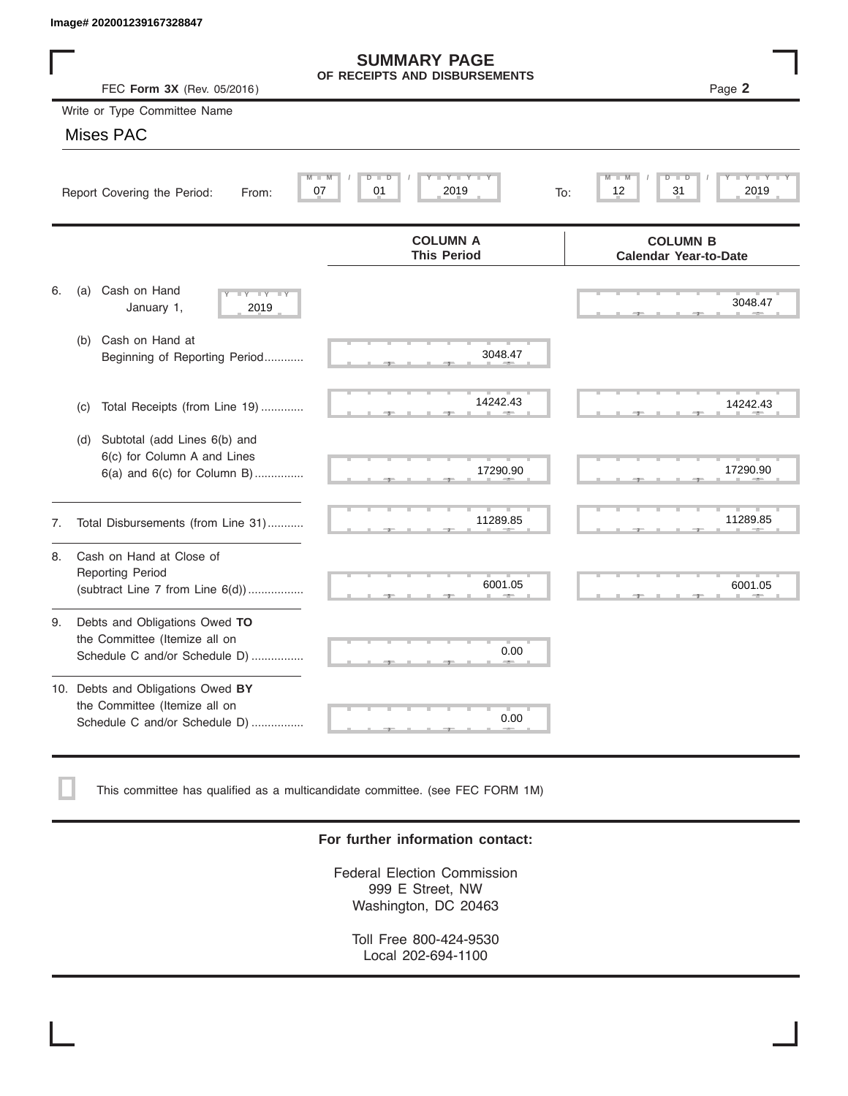|    | Image# 202001239167328847                                                                             |                                                      |                                                 |
|----|-------------------------------------------------------------------------------------------------------|------------------------------------------------------|-------------------------------------------------|
|    | FEC Form 3X (Rev. 05/2016)                                                                            | <b>SUMMARY PAGE</b><br>OF RECEIPTS AND DISBURSEMENTS | Page 2                                          |
|    | Write or Type Committee Name                                                                          |                                                      |                                                 |
|    | Mises PAC                                                                                             |                                                      |                                                 |
|    | M<br>Report Covering the Period:<br>From:                                                             | Y I Y I<br>$D$ $D$<br>07<br>01<br>2019               | D<br>31<br>2019<br>12<br>To:                    |
|    |                                                                                                       | <b>COLUMN A</b><br><b>This Period</b>                | <b>COLUMN B</b><br><b>Calendar Year-to-Date</b> |
| 6. | Cash on Hand<br>(a)<br>$-Y - Y - IY$<br>January 1,<br>2019                                            |                                                      | 3048.47                                         |
|    | Cash on Hand at<br>(b)<br>Beginning of Reporting Period                                               | 3048.47                                              |                                                 |
|    | Total Receipts (from Line 19)<br>(c)                                                                  | 14242.43                                             | 14242.43                                        |
|    | Subtotal (add Lines 6(b) and<br>(d)<br>6(c) for Column A and Lines<br>$6(a)$ and $6(c)$ for Column B) | 17290.90                                             | 17290.90                                        |
| 7. | Total Disbursements (from Line 31)                                                                    | 11289.85                                             | 11289.85                                        |
| 8. | Cash on Hand at Close of<br><b>Reporting Period</b><br>(subtract Line $7$ from Line $6(d)$ )          | 6001.05                                              | 6001.05                                         |
| 9. | Debts and Obligations Owed TO<br>the Committee (Itemize all on<br>Schedule C and/or Schedule D)       | 0.00                                                 |                                                 |
|    | 10. Debts and Obligations Owed BY<br>the Committee (Itemize all on<br>Schedule C and/or Schedule D)   | т<br>0.00                                            |                                                 |

This committee has qualified as a multicandidate committee. (see FEC FORM 1M)

## **For further information contact:**

Federal Election Commission 999 E Street, NW Washington, DC 20463

Toll Free 800-424-9530 Local 202-694-1100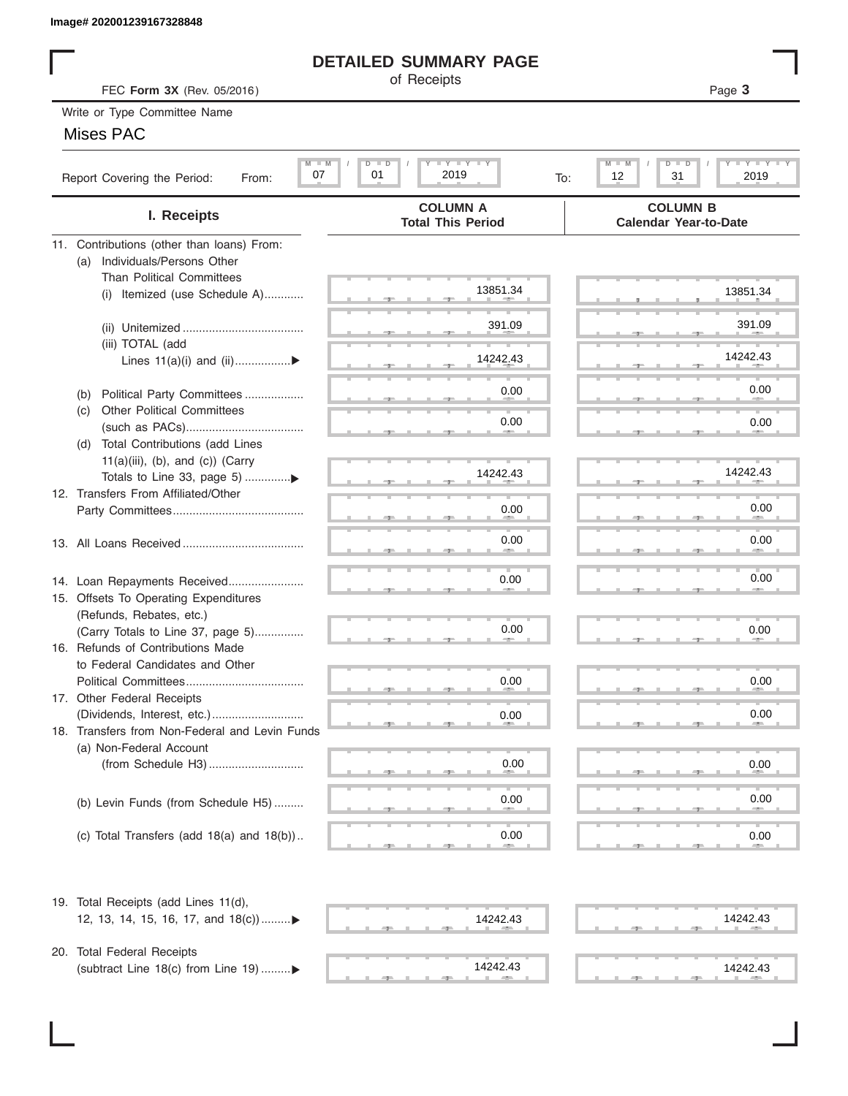## **DETAILED SUMMARY PAGE**

## Mises PAC

|                                                                           | <b>DETAILED SUMMARY PAGE</b>                            |                                                                                         |
|---------------------------------------------------------------------------|---------------------------------------------------------|-----------------------------------------------------------------------------------------|
| FEC Form 3X (Rev. 05/2016)                                                | of Receipts                                             | Page 3                                                                                  |
| Write or Type Committee Name                                              |                                                         |                                                                                         |
| <b>Mises PAC</b>                                                          |                                                         |                                                                                         |
| $M - M$<br>07<br>Report Covering the Period:<br>From:                     | $I - Y - I - Y - I - Y$<br>$D$ $D$<br>01<br>2019<br>To: | $T - Y = T - Y$<br>$M - M$<br>$D$ $\Box$<br>$\overline{\mathsf{D}}$<br>12<br>31<br>2019 |
| I. Receipts                                                               | <b>COLUMN A</b><br><b>Total This Period</b>             | <b>COLUMN B</b><br><b>Calendar Year-to-Date</b>                                         |
| 11. Contributions (other than loans) From:                                |                                                         |                                                                                         |
| Individuals/Persons Other<br>(a)                                          |                                                         |                                                                                         |
| <b>Than Political Committees</b><br>(i) Itemized (use Schedule A)         | 13851.34                                                | 13851.34                                                                                |
|                                                                           |                                                         |                                                                                         |
|                                                                           | 391.09                                                  | 391.09                                                                                  |
| (iii) TOTAL (add                                                          |                                                         |                                                                                         |
| Lines $11(a)(i)$ and $(ii)$                                               | 14242.43                                                | 14242.43                                                                                |
| Political Party Committees<br>(b)                                         | 0.00                                                    | 0.00                                                                                    |
| <b>Other Political Committees</b><br>(C)                                  |                                                         |                                                                                         |
|                                                                           | 0.00                                                    | 0.00                                                                                    |
| Total Contributions (add Lines<br>(d)                                     |                                                         |                                                                                         |
| $11(a)(iii)$ , (b), and (c)) (Carry                                       | 14242.43                                                | 14242.43                                                                                |
| Totals to Line 33, page 5) ▶                                              |                                                         |                                                                                         |
| 12. Transfers From Affiliated/Other                                       | 0.00                                                    | 0.00                                                                                    |
|                                                                           |                                                         |                                                                                         |
|                                                                           | 0.00                                                    | 0.00                                                                                    |
|                                                                           |                                                         |                                                                                         |
| 14. Loan Repayments Received                                              | 0.00                                                    | 0.00                                                                                    |
| 15. Offsets To Operating Expenditures                                     |                                                         |                                                                                         |
| (Refunds, Rebates, etc.)                                                  | 0.00                                                    | 0.00                                                                                    |
| (Carry Totals to Line 37, page 5)<br>16. Refunds of Contributions Made    |                                                         |                                                                                         |
| to Federal Candidates and Other                                           |                                                         |                                                                                         |
| Political Committees                                                      | 0.00                                                    | 0.00                                                                                    |
| 17. Other Federal Receipts                                                |                                                         |                                                                                         |
|                                                                           | 0.00                                                    | 0.00                                                                                    |
| 18. Transfers from Non-Federal and Levin Funds<br>(a) Non-Federal Account |                                                         |                                                                                         |
|                                                                           | 0.00                                                    | 0.00                                                                                    |
|                                                                           |                                                         |                                                                                         |
| (b) Levin Funds (from Schedule H5)                                        | 0.00                                                    | 0.00                                                                                    |
|                                                                           |                                                         |                                                                                         |
| (c) Total Transfers (add $18(a)$ and $18(b)$ )                            | 0.00                                                    | 0.00                                                                                    |
| 19. Total Receipts (add Lines 11(d),                                      |                                                         |                                                                                         |
| 12, 13, 14, 15, 16, 17, and 18(c)                                         | 14242.43                                                | 14242.43                                                                                |
|                                                                           |                                                         |                                                                                         |
| 20. Total Federal Receipts<br>(subtract Line 18(c) from Line 19)▶         | 14242.43                                                | 14242.43                                                                                |
|                                                                           |                                                         |                                                                                         |

(subtract Line 18(c) from Line 19) .........

 ▲ ▲ ▲ , , . ▲ ▲ ▲ , , . 14242.43 14242.43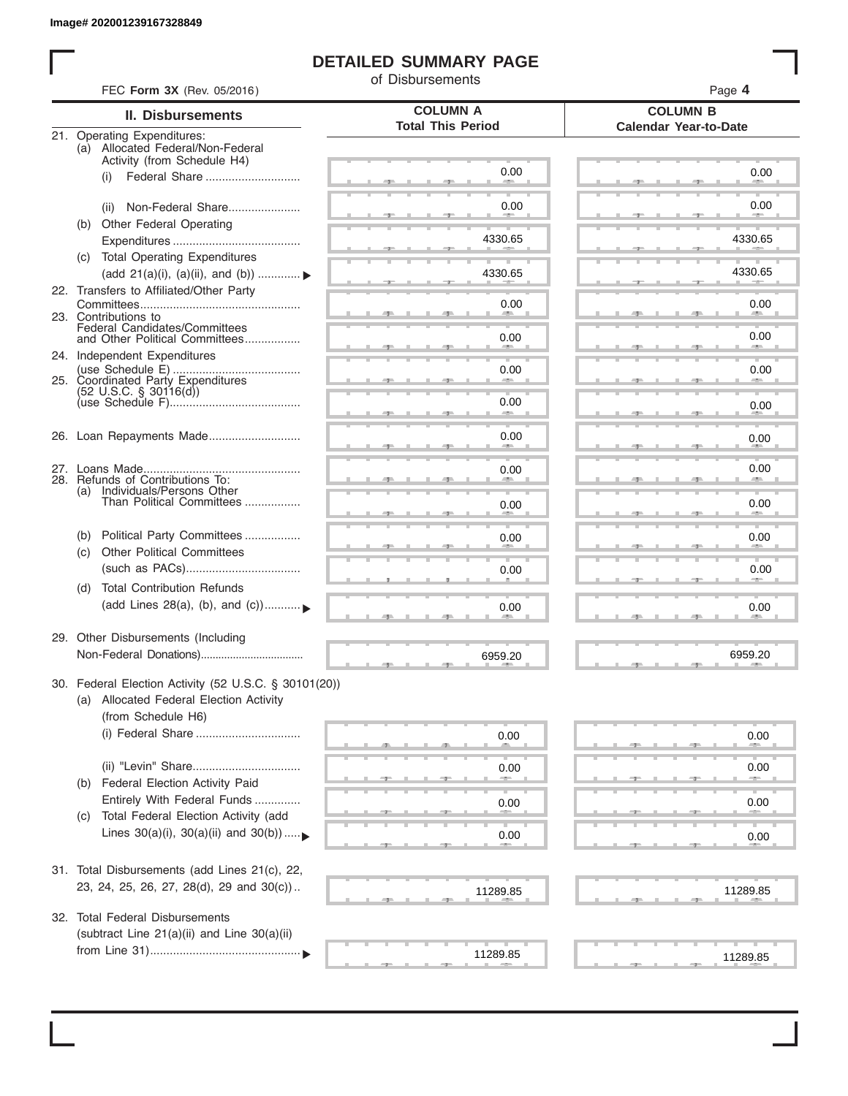I

# **DETAILED SUMMARY PAGE**

of Disbursements

| FEC Form 3X (Rev. 05/2016)                                                                      |                                             | Page 4                                          |
|-------------------------------------------------------------------------------------------------|---------------------------------------------|-------------------------------------------------|
| <b>II. Disbursements</b>                                                                        | <b>COLUMN A</b><br><b>Total This Period</b> | <b>COLUMN B</b><br><b>Calendar Year-to-Date</b> |
| 21. Operating Expenditures:<br>(a) Allocated Federal/Non-Federal<br>Activity (from Schedule H4) |                                             |                                                 |
| Federal Share<br>(i)                                                                            | 0.00                                        | 0.00                                            |
| Non-Federal Share<br>(ii)                                                                       | 0.00                                        | 0.00                                            |
| Other Federal Operating<br>(b)                                                                  | 4330.65                                     | 4330.65                                         |
| (c) Total Operating Expenditures<br>(add 21(a)(i), (a)(ii), and (b))                            | 4330.65                                     | 4330.65                                         |
| 22. Transfers to Affiliated/Other Party                                                         |                                             |                                                 |
| 23. Contributions to                                                                            | 0.00                                        | 0.00<br><b>All Andre</b>                        |
| Federal Candidates/Committees<br>and Other Political Committees<br>24. Independent Expenditures | 0.00                                        | 0.00<br><b>AND</b>                              |
| 25. Coordinated Party Expenditures                                                              | 0.00                                        | 0.00                                            |
| $(52 \text{ U.S.C. }$ § 30116(d))                                                               | 0.00                                        | 0.00                                            |
| 26. Loan Repayments Made                                                                        | 0.00                                        | 0.00                                            |
|                                                                                                 | 0.00                                        | 0.00                                            |
| 28. Refunds of Contributions To:<br>(a) Individuals/Persons Other<br>Than Political Committees  | 0.00                                        | 0.00                                            |
| Political Party Committees<br>(b)                                                               | 0.00                                        | 0.00                                            |
| <b>Other Political Committees</b><br>(C)                                                        | 0.00                                        | 0.00                                            |
| <b>Total Contribution Refunds</b><br>(d)<br>(add Lines 28(a), (b), and (c))                     | 0.00                                        | 0.00                                            |
| 29. Other Disbursements (Including                                                              | 6959.20                                     | 6959.20                                         |
| 30. Federal Election Activity (52 U.S.C. § 30101(20))                                           |                                             |                                                 |
| (a) Allocated Federal Election Activity<br>(from Schedule H6)                                   |                                             |                                                 |
| (i) Federal Share                                                                               | 0.00                                        | 0.00                                            |
|                                                                                                 | 0.00                                        | 0.00                                            |
| <b>Federal Election Activity Paid</b><br>(b)<br>Entirely With Federal Funds                     | 0.00                                        | 0.00                                            |
| Total Federal Election Activity (add<br>(C)<br>Lines $30(a)(i)$ , $30(a)(ii)$ and $30(b))$      | 0.00                                        | 0.00                                            |
|                                                                                                 |                                             |                                                 |
| 31. Total Disbursements (add Lines 21(c), 22,<br>23, 24, 25, 26, 27, 28(d), 29 and 30(c))       | 11289.85                                    | 11289.85                                        |
| 32. Total Federal Disbursements                                                                 |                                             |                                                 |
| (subtract Line 21(a)(ii) and Line 30(a)(ii)                                                     | 11289.85                                    | 11289.85                                        |
|                                                                                                 |                                             |                                                 |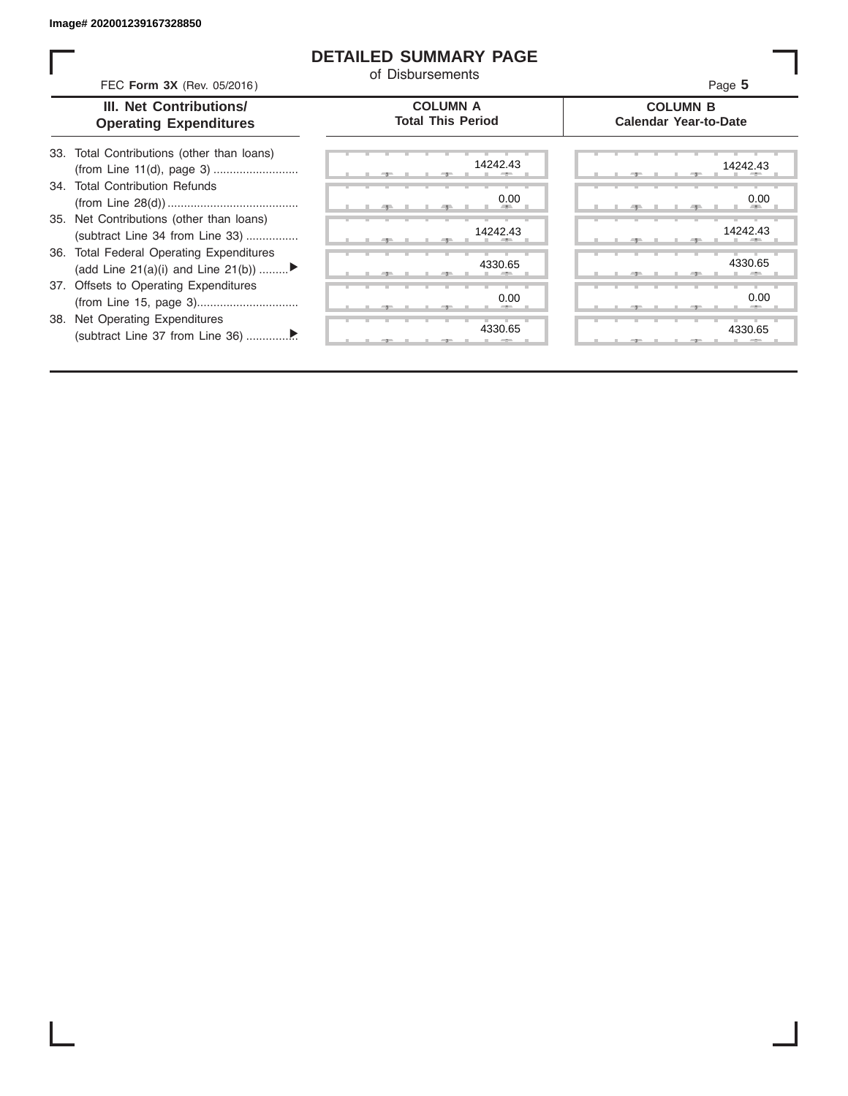ı

## **DETAILED SUMMARY PAGE**

of Disbursements

| FEC Form 3X (Rev. 05/2016)                                                     | u Dionalochighto                            | Page 5                                          |
|--------------------------------------------------------------------------------|---------------------------------------------|-------------------------------------------------|
| <b>III. Net Contributions/</b><br><b>Operating Expenditures</b>                | <b>COLUMN A</b><br><b>Total This Period</b> | <b>COLUMN B</b><br><b>Calendar Year-to-Date</b> |
| 33. Total Contributions (other than loans)                                     | 14242.43                                    | 14242.43                                        |
| 34. Total Contribution Refunds                                                 | 0.00                                        | 0.00                                            |
| 35. Net Contributions (other than loans)<br>(subtract Line 34 from Line 33)    | 14242.43                                    | 14242.43                                        |
| 36. Total Federal Operating Expenditures<br>(add Line 21(a)(i) and Line 21(b)) | 4330.65                                     | 4330.65                                         |
| 37. Offsets to Operating Expenditures                                          | 0.00                                        | 0.00                                            |
| 38. Net Operating Expenditures                                                 | 4330.65                                     | 4330.65                                         |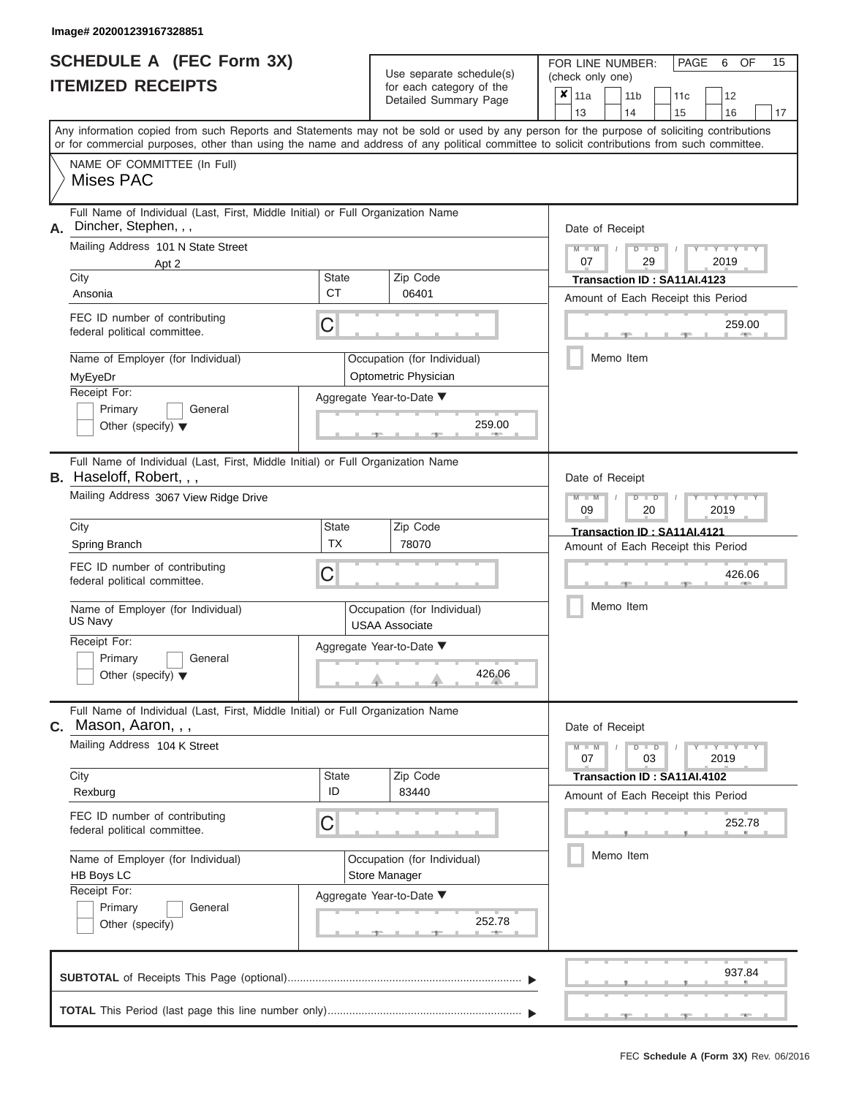# **SCHEDULE A (FEC Form 3X)**

| 13<br>14<br>15<br>16<br>Any information copied from such Reports and Statements may not be sold or used by any person for the purpose of soliciting contributions<br>or for commercial purposes, other than using the name and address of any political committee to solicit contributions from such committee.<br>NAME OF COMMITTEE (In Full)<br>Mises PAC<br>Full Name of Individual (Last, First, Middle Initial) or Full Organization Name<br>Dincher, Stephen, , ,<br>Date of Receipt<br>Mailing Address 101 N State Street<br>$M - M$<br>$D$ $D$<br>$Y - Y - I$<br>$\sqrt{2}$<br>07<br>29<br>2019<br>Apt 2<br>City<br><b>State</b><br>Zip Code<br>Transaction ID: SA11AI.4123<br><b>CT</b><br>06401<br>Ansonia<br>Amount of Each Receipt this Period<br>FEC ID number of contributing<br>С<br>259.00<br>federal political committee.<br><b>AND</b><br>Memo Item<br>Name of Employer (for Individual)<br>Occupation (for Individual)<br>Optometric Physician<br>MyEyeDr<br>Receipt For:<br>Aggregate Year-to-Date ▼<br>Primary<br>General<br>259.00<br>Other (specify) $\blacktriangledown$<br>Full Name of Individual (Last, First, Middle Initial) or Full Organization Name<br>Date of Receipt<br>Mailing Address 3067 View Ridge Drive<br>$M - M$<br>$D$ $\Box$ $D$<br>Y TYT<br>09<br>2019<br>20<br>City<br>Zip Code<br>State<br>Transaction ID: SA11AI.4121<br><b>TX</b><br>78070<br>Spring Branch<br>Amount of Each Receipt this Period<br>FEC ID number of contributing<br>С<br>426.06<br>federal political committee.<br>Memo Item<br>Name of Employer (for Individual)<br>Occupation (for Individual)<br>US Navy<br><b>USAA Associate</b><br>Receipt For:<br>Aggregate Year-to-Date ▼<br>Primary<br>General<br>426.06<br>Other (specify) $\blacktriangledown$<br>Full Name of Individual (Last, First, Middle Initial) or Full Organization Name<br>Mason, Aaron, , ,<br>Date of Receipt<br>Mailing Address 104 K Street<br>$M - M$<br>$D$ $D$<br>$T - Y = Y - T Y$<br>07<br>03<br>2019<br>Zip Code<br>City<br><b>State</b><br>Transaction ID: SA11AI.4102<br>ID<br>83440<br>Rexburg<br>Amount of Each Receipt this Period<br>FEC ID number of contributing<br>С<br>252.78<br>federal political committee.<br>Memo Item<br>Name of Employer (for Individual)<br>Occupation (for Individual)<br>HB Boys LC<br>Store Manager<br>Receipt For:<br>Aggregate Year-to-Date ▼<br>Primary<br>General<br>252.78<br>Other (specify)<br>937.84 | SCHEDULE A (FEC Form 3X)<br>Use separate schedule(s)<br><b>ITEMIZED RECEIPTS</b><br>for each category of the<br>Detailed Summary Page |  | 15<br>FOR LINE NUMBER:<br>PAGE<br>6<br>OF<br>(check only one)<br>×<br>11a<br>11 <sub>b</sub><br>11 <sub>c</sub><br>12 |    |
|---------------------------------------------------------------------------------------------------------------------------------------------------------------------------------------------------------------------------------------------------------------------------------------------------------------------------------------------------------------------------------------------------------------------------------------------------------------------------------------------------------------------------------------------------------------------------------------------------------------------------------------------------------------------------------------------------------------------------------------------------------------------------------------------------------------------------------------------------------------------------------------------------------------------------------------------------------------------------------------------------------------------------------------------------------------------------------------------------------------------------------------------------------------------------------------------------------------------------------------------------------------------------------------------------------------------------------------------------------------------------------------------------------------------------------------------------------------------------------------------------------------------------------------------------------------------------------------------------------------------------------------------------------------------------------------------------------------------------------------------------------------------------------------------------------------------------------------------------------------------------------------------------------------------------------------------------------------------------------------------------------------------------------------------------------------------------------------------------------------------------------------------------------------------------------------------------------------------------------------------------------------------------------------------------------------------------------------------------------------------------------------------------------------------------------------------------|---------------------------------------------------------------------------------------------------------------------------------------|--|-----------------------------------------------------------------------------------------------------------------------|----|
|                                                                                                                                                                                                                                                                                                                                                                                                                                                                                                                                                                                                                                                                                                                                                                                                                                                                                                                                                                                                                                                                                                                                                                                                                                                                                                                                                                                                                                                                                                                                                                                                                                                                                                                                                                                                                                                                                                                                                                                                                                                                                                                                                                                                                                                                                                                                                                                                                                                   |                                                                                                                                       |  |                                                                                                                       | 17 |
|                                                                                                                                                                                                                                                                                                                                                                                                                                                                                                                                                                                                                                                                                                                                                                                                                                                                                                                                                                                                                                                                                                                                                                                                                                                                                                                                                                                                                                                                                                                                                                                                                                                                                                                                                                                                                                                                                                                                                                                                                                                                                                                                                                                                                                                                                                                                                                                                                                                   |                                                                                                                                       |  |                                                                                                                       |    |
|                                                                                                                                                                                                                                                                                                                                                                                                                                                                                                                                                                                                                                                                                                                                                                                                                                                                                                                                                                                                                                                                                                                                                                                                                                                                                                                                                                                                                                                                                                                                                                                                                                                                                                                                                                                                                                                                                                                                                                                                                                                                                                                                                                                                                                                                                                                                                                                                                                                   | А.                                                                                                                                    |  |                                                                                                                       |    |
| С.                                                                                                                                                                                                                                                                                                                                                                                                                                                                                                                                                                                                                                                                                                                                                                                                                                                                                                                                                                                                                                                                                                                                                                                                                                                                                                                                                                                                                                                                                                                                                                                                                                                                                                                                                                                                                                                                                                                                                                                                                                                                                                                                                                                                                                                                                                                                                                                                                                                | <b>B.</b> Haseloff, Robert, , ,                                                                                                       |  |                                                                                                                       |    |
|                                                                                                                                                                                                                                                                                                                                                                                                                                                                                                                                                                                                                                                                                                                                                                                                                                                                                                                                                                                                                                                                                                                                                                                                                                                                                                                                                                                                                                                                                                                                                                                                                                                                                                                                                                                                                                                                                                                                                                                                                                                                                                                                                                                                                                                                                                                                                                                                                                                   |                                                                                                                                       |  |                                                                                                                       |    |
|                                                                                                                                                                                                                                                                                                                                                                                                                                                                                                                                                                                                                                                                                                                                                                                                                                                                                                                                                                                                                                                                                                                                                                                                                                                                                                                                                                                                                                                                                                                                                                                                                                                                                                                                                                                                                                                                                                                                                                                                                                                                                                                                                                                                                                                                                                                                                                                                                                                   |                                                                                                                                       |  |                                                                                                                       |    |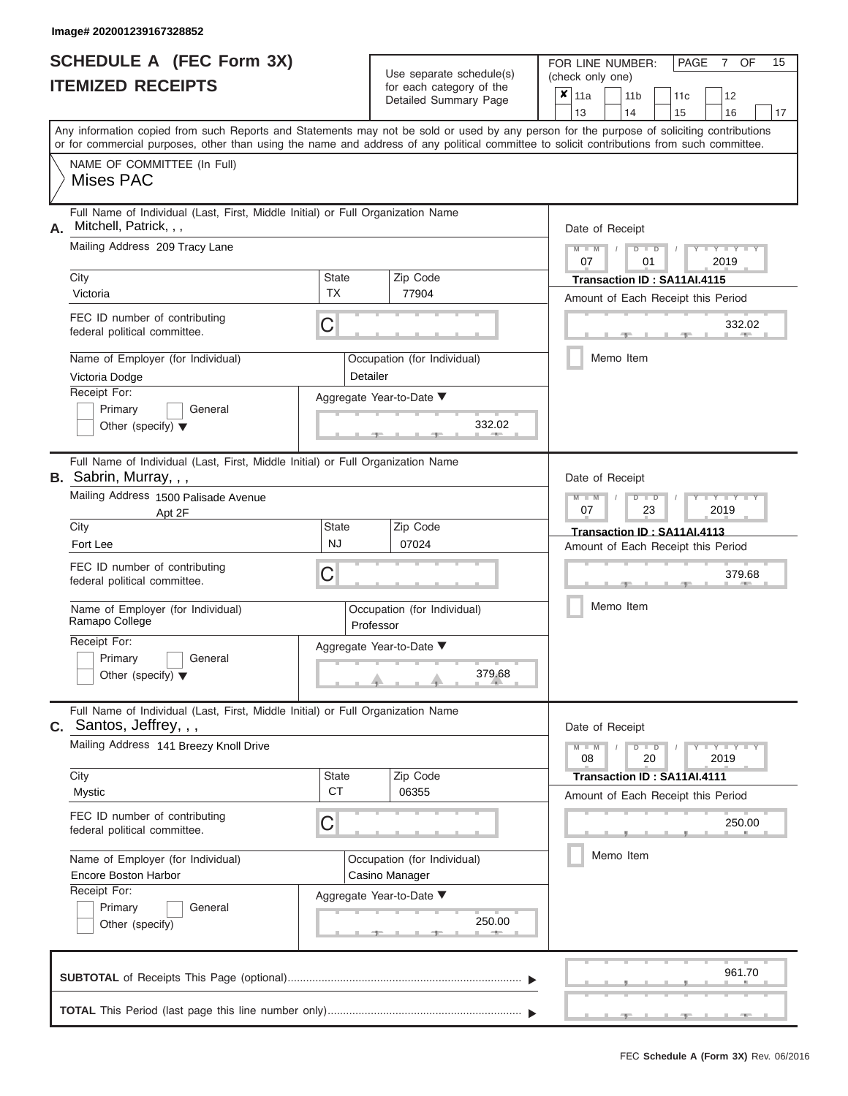### **Image# 202001239167328852**

| <b>SCHEDULE A (FEC Form 3X)</b> |  |  |
|---------------------------------|--|--|
| <b>ITEMIZED RECEIPTS</b>        |  |  |

| SCHEDULE A (FEC Form 3X)<br><b>ITEMIZED RECEIPTS</b>                                                                                                                                                                                                                                                                                                                                  |                         | Use separate schedule(s)<br>for each category of the<br>Detailed Summary Page                            | 15<br>FOR LINE NUMBER:<br>PAGE<br>OF<br>7<br>(check only one)<br>$\overline{\mathbf{x}}$   11a<br>11 <sub>b</sub><br>11c<br>12<br>13<br>14<br>15<br>16<br>17                                       |
|---------------------------------------------------------------------------------------------------------------------------------------------------------------------------------------------------------------------------------------------------------------------------------------------------------------------------------------------------------------------------------------|-------------------------|----------------------------------------------------------------------------------------------------------|----------------------------------------------------------------------------------------------------------------------------------------------------------------------------------------------------|
| Any information copied from such Reports and Statements may not be sold or used by any person for the purpose of soliciting contributions<br>or for commercial purposes, other than using the name and address of any political committee to solicit contributions from such committee.<br>NAME OF COMMITTEE (In Full)<br><b>Mises PAC</b>                                            |                         |                                                                                                          |                                                                                                                                                                                                    |
| Full Name of Individual (Last, First, Middle Initial) or Full Organization Name<br>Mitchell, Patrick, , ,<br>А.<br>Mailing Address 209 Tracy Lane<br>City<br>Victoria<br>FEC ID number of contributing<br>federal political committee.<br>Name of Employer (for Individual)<br>Victoria Dodge<br>Receipt For:<br>Primary<br>General<br>Other (specify) $\blacktriangledown$           | State<br><b>TX</b><br>C | Zip Code<br>77904<br>Occupation (for Individual)<br>Detailer<br>Aggregate Year-to-Date ▼<br>332.02       | Date of Receipt<br>$M - M$<br>$D$ $D$<br>Y TY T<br>$\sqrt{2}$<br>07<br>01<br>2019<br>Transaction ID: SA11AI.4115<br>Amount of Each Receipt this Period<br>332.02<br><b>CONTRACTOR</b><br>Memo Item |
| Full Name of Individual (Last, First, Middle Initial) or Full Organization Name<br>B. Sabrin, Murray, , ,<br>Mailing Address 1500 Palisade Avenue<br>Apt 2F<br>City<br>Fort Lee<br>FEC ID number of contributing<br>federal political committee.<br>Name of Employer (for Individual)<br>Ramapo College<br>Receipt For:<br>Primary<br>General<br>Other (specify) $\blacktriangledown$ | State<br><b>NJ</b><br>С | Zip Code<br>07024<br>Occupation (for Individual)<br>Professor<br>Aggregate Year-to-Date ▼<br>379.68      | Date of Receipt<br>$M - M$<br>$D$ $\Box$ $D$<br>Y TYT<br>07<br>2019<br>23<br>Transaction ID: SA11AI.4113<br>Amount of Each Receipt this Period<br>379.68<br>Memo Item                              |
| Full Name of Individual (Last, First, Middle Initial) or Full Organization Name<br>$c.$ Santos, Jeffrey, , ,<br>Mailing Address 141 Breezy Knoll Drive<br>City<br>Mystic<br>FEC ID number of contributing<br>federal political committee.<br>Name of Employer (for Individual)<br>Encore Boston Harbor<br>Receipt For:<br>General<br>Primary<br>Other (specify)                       | State<br><b>CT</b><br>С | Zip Code<br>06355<br>Occupation (for Individual)<br>Casino Manager<br>Aggregate Year-to-Date ▼<br>250.00 | Date of Receipt<br>$M - M$<br>$D$ $D$<br>$T - Y = Y - T Y$<br>20<br>2019<br>08<br>Transaction ID: SA11AI.4111<br>Amount of Each Receipt this Period<br>250.00<br>Memo Item                         |
|                                                                                                                                                                                                                                                                                                                                                                                       |                         |                                                                                                          | 961.70                                                                                                                                                                                             |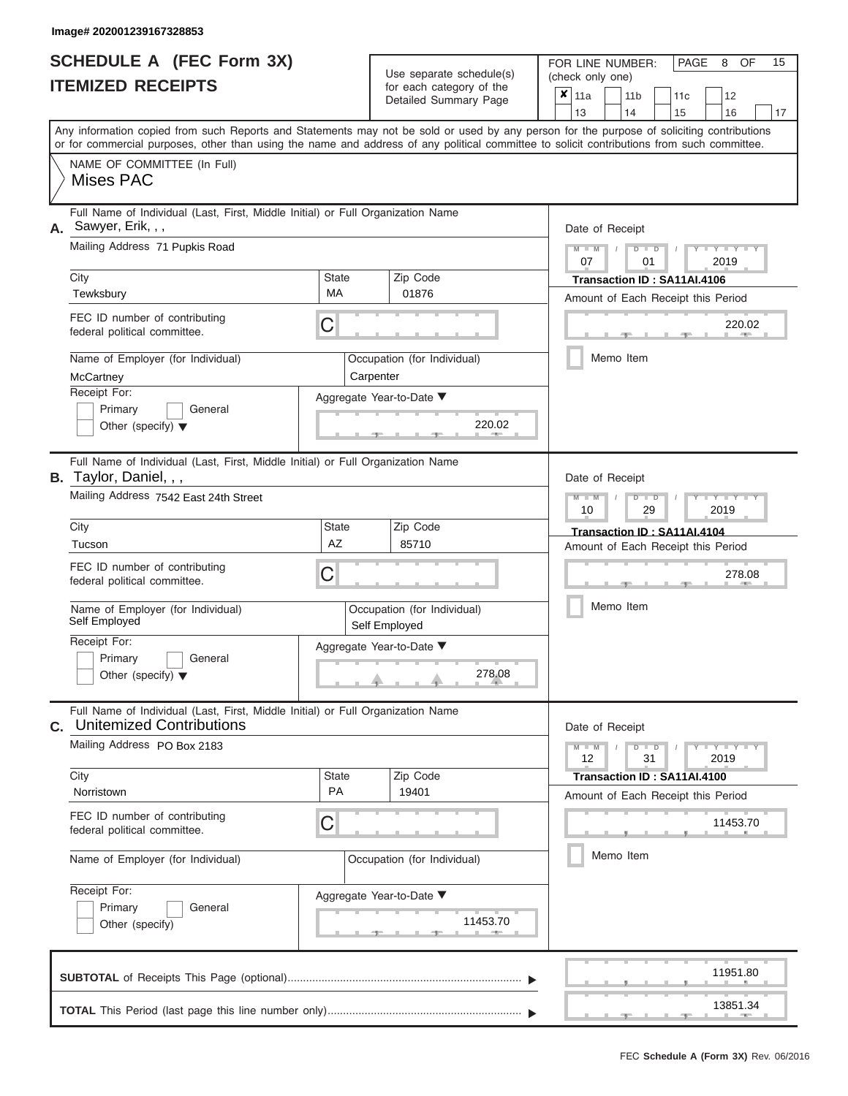#### **Image# 202001239167328853**

|                          | <b>SCHEDULE A (FEC Form 3X)</b> |
|--------------------------|---------------------------------|
| <b>ITEMIZED RECEIPTS</b> |                                 |

Use separate schedule(s)<br>for each category of the

FOR LINE NUMBER:<br>(check only one)

PAGE 8 OF 15

|                                                                                                                                                                                        |                                       | oudil buildigely of the<br>Detailed Summary Page | X.                                           | 11a             |  | 11 <sub>b</sub>                  | 11 <sub>c</sub>                                   | 12                                             |    |  |  |  |
|----------------------------------------------------------------------------------------------------------------------------------------------------------------------------------------|---------------------------------------|--------------------------------------------------|----------------------------------------------|-----------------|--|----------------------------------|---------------------------------------------------|------------------------------------------------|----|--|--|--|
| Any information copied from such Reports and Statements may not be sold or used by any person for the purpose of soliciting contributions                                              |                                       |                                                  |                                              | 13              |  | 14                               | 15                                                | 16                                             | 17 |  |  |  |
| or for commercial purposes, other than using the name and address of any political committee to solicit contributions from such committee.<br>NAME OF COMMITTEE (In Full)<br>Mises PAC |                                       |                                                  |                                              |                 |  |                                  |                                                   |                                                |    |  |  |  |
| Full Name of Individual (Last, First, Middle Initial) or Full Organization Name<br>Sawyer, Erik, , ,<br>А.<br>Mailing Address 71 Pupkis Road                                           |                                       |                                                  |                                              |                 |  | Date of Receipt<br>$D$ $D$<br>01 |                                                   | $Y - Y - I$                                    |    |  |  |  |
| City                                                                                                                                                                                   | <b>State</b>                          |                                                  |                                              |                 |  |                                  |                                                   | 2019                                           |    |  |  |  |
| Tewksbury                                                                                                                                                                              | <b>MA</b>                             | Zip Code<br>01876                                |                                              |                 |  | Transaction ID: SA11AI.4106      |                                                   | Amount of Each Receipt this Period             |    |  |  |  |
| FEC ID number of contributing<br>federal political committee.                                                                                                                          | С                                     |                                                  |                                              |                 |  |                                  |                                                   | 220.02                                         |    |  |  |  |
| Name of Employer (for Individual)<br>McCartney                                                                                                                                         |                                       | Occupation (for Individual)<br>Carpenter         |                                              |                 |  | Memo Item                        |                                                   |                                                |    |  |  |  |
| Receipt For:<br>Primary<br>General<br>Other (specify) $\blacktriangledown$                                                                                                             |                                       | Aggregate Year-to-Date ▼<br>220.02               |                                              |                 |  |                                  |                                                   |                                                |    |  |  |  |
| Full Name of Individual (Last, First, Middle Initial) or Full Organization Name<br>B. Taylor, Daniel, , ,                                                                              |                                       |                                                  |                                              | Date of Receipt |  |                                  |                                                   |                                                |    |  |  |  |
|                                                                                                                                                                                        | Mailing Address 7542 East 24th Street |                                                  |                                              |                 |  |                                  | $M - M$<br>$Y - Y$<br>$D$ $D$<br>2019<br>29<br>10 |                                                |    |  |  |  |
| City<br>Tucson                                                                                                                                                                         | <b>State</b><br><b>AZ</b>             | Zip Code<br>85710                                |                                              |                 |  | Transaction ID: SA11AI.4104      |                                                   |                                                |    |  |  |  |
| FEC ID number of contributing<br>federal political committee.                                                                                                                          | С                                     |                                                  | Amount of Each Receipt this Period<br>278.08 |                 |  |                                  |                                                   |                                                |    |  |  |  |
| Name of Employer (for Individual)<br>Self Employed                                                                                                                                     |                                       | Occupation (for Individual)<br>Self Employed     |                                              | Memo Item       |  |                                  |                                                   |                                                |    |  |  |  |
| Receipt For:<br>Primary<br>General<br>Other (specify) $\blacktriangledown$                                                                                                             |                                       | Aggregate Year-to-Date ▼<br>278.08               |                                              |                 |  |                                  |                                                   |                                                |    |  |  |  |
| Full Name of Individual (Last, First, Middle Initial) or Full Organization Name<br><b>Unitemized Contributions</b><br>C.                                                               |                                       |                                                  |                                              | Date of Receipt |  |                                  |                                                   |                                                |    |  |  |  |
| Mailing Address PO Box 2183                                                                                                                                                            |                                       |                                                  |                                              | $M - M$<br>12   |  | $D$ $D$<br>31                    |                                                   | $Y - Y - Y - Y - Y$<br>2019                    |    |  |  |  |
| City<br>Norristown                                                                                                                                                                     | <b>State</b><br>PA                    | Zip Code<br>19401                                |                                              |                 |  | Transaction ID: SA11AI.4100      |                                                   |                                                |    |  |  |  |
| FEC ID number of contributing<br>federal political committee.                                                                                                                          | С                                     |                                                  |                                              |                 |  |                                  |                                                   | Amount of Each Receipt this Period<br>11453.70 |    |  |  |  |
| Name of Employer (for Individual)                                                                                                                                                      |                                       | Occupation (for Individual)                      |                                              |                 |  | Memo Item                        |                                                   |                                                |    |  |  |  |
| Receipt For:<br>Primary<br>General<br>Other (specify)                                                                                                                                  |                                       | Aggregate Year-to-Date ▼<br>11453.70             |                                              |                 |  |                                  |                                                   |                                                |    |  |  |  |
|                                                                                                                                                                                        |                                       |                                                  |                                              |                 |  |                                  |                                                   | 11951.80                                       |    |  |  |  |
|                                                                                                                                                                                        |                                       |                                                  |                                              |                 |  |                                  | - 1                                               | 13851.34                                       |    |  |  |  |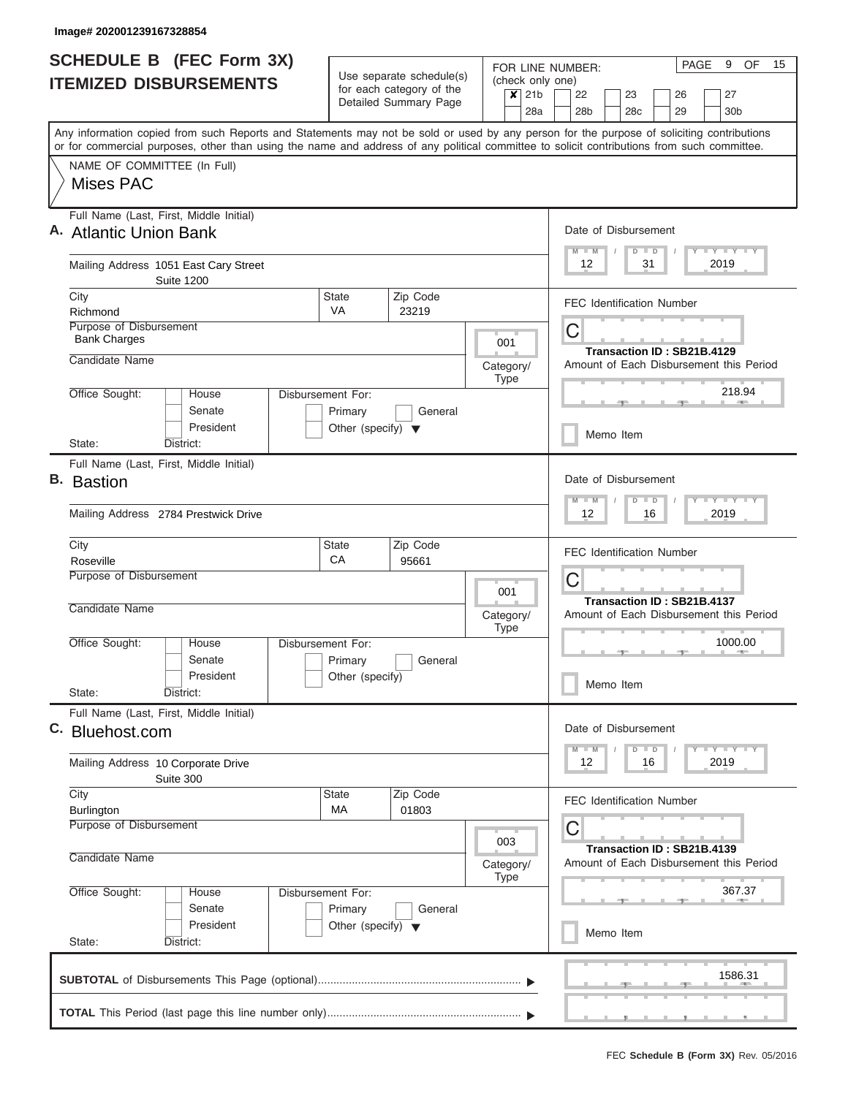| Use separate schedule(s)<br>(check only one)<br>for each category of the<br>$\boldsymbol{x}$<br>21 <sub>b</sub><br>22<br>23<br>27<br>26<br>Detailed Summary Page<br>28a<br>28 <sub>b</sub><br>28c<br>29<br>30 <sub>b</sub><br>Any information copied from such Reports and Statements may not be sold or used by any person for the purpose of soliciting contributions<br>or for commercial purposes, other than using the name and address of any political committee to solicit contributions from such committee.<br>NAME OF COMMITTEE (In Full)<br><b>Mises PAC</b><br>Full Name (Last, First, Middle Initial)<br>Date of Disbursement<br>A. Atlantic Union Bank<br>Y I Y I Y I Y<br>$M - M$<br>$D$ $D$<br>2019<br>Mailing Address 1051 East Cary Street<br>12<br>31<br><b>Suite 1200</b><br><b>State</b><br>Zip Code<br>City<br><b>FEC Identification Number</b><br><b>VA</b><br>Richmond<br>23219<br>Purpose of Disbursement<br>C<br><b>Bank Charges</b><br>001<br>Transaction ID: SB21B.4129<br>Candidate Name<br>Amount of Each Disbursement this Period<br>Category/<br><b>Type</b><br>218.94<br>Office Sought:<br>House<br>Disbursement For:<br><b>AND</b><br>Senate<br>General<br>Primary<br>President<br>Other (specify) $\blacktriangledown$<br>Memo Item<br>State:<br>District:<br>Full Name (Last, First, Middle Initial)<br>Date of Disbursement<br>Y FY FY FY<br>$D$ $D$<br>$M - M$<br>2019<br>Mailing Address 2784 Prestwick Drive<br>12<br>16<br>State<br>Zip Code<br>City<br><b>FEC Identification Number</b><br>CA<br>Roseville<br>95661<br>Purpose of Disbursement<br>C<br>001<br>Transaction ID: SB21B.4137<br>Candidate Name<br>Category/<br>Amount of Each Disbursement this Period<br><b>Type</b><br>1000.00<br>Office Sought:<br>Disbursement For:<br>House<br><b>British Allen</b><br>Senate<br>Primary<br>General<br>President<br>Other (specify)<br>Memo Item<br>State:<br>District:<br>Full Name (Last, First, Middle Initial)<br>Date of Disbursement<br>Bluehost.com<br>$Y - Y - Y - I - Y$<br>$M$ $M$<br>$D$ $D$<br>2019<br>12<br>16<br>Mailing Address 10 Corporate Drive<br>Suite 300<br>Zip Code<br>City<br>State<br><b>FEC Identification Number</b><br>МA<br>01803<br><b>Burlington</b><br>Purpose of Disbursement<br>C<br>003<br>Transaction ID: SB21B.4139<br>Candidate Name<br>Amount of Each Disbursement this Period<br>Category/<br><b>Type</b><br>367.37<br>Office Sought:<br>Disbursement For:<br>House<br>Senate<br>Primary<br>General<br>President<br>Other (specify) $\blacktriangledown$<br>Memo Item<br>State:<br>District: | <b>SCHEDULE B</b> (FEC Form 3X) |  |  |  |  | PAGE<br>9<br>OF.<br>15<br>FOR LINE NUMBER: |  |
|----------------------------------------------------------------------------------------------------------------------------------------------------------------------------------------------------------------------------------------------------------------------------------------------------------------------------------------------------------------------------------------------------------------------------------------------------------------------------------------------------------------------------------------------------------------------------------------------------------------------------------------------------------------------------------------------------------------------------------------------------------------------------------------------------------------------------------------------------------------------------------------------------------------------------------------------------------------------------------------------------------------------------------------------------------------------------------------------------------------------------------------------------------------------------------------------------------------------------------------------------------------------------------------------------------------------------------------------------------------------------------------------------------------------------------------------------------------------------------------------------------------------------------------------------------------------------------------------------------------------------------------------------------------------------------------------------------------------------------------------------------------------------------------------------------------------------------------------------------------------------------------------------------------------------------------------------------------------------------------------------------------------------------------------------------------------------------------------------------------------------------------------------------------------------------------------------------------------------------------------------------------------------------------------------------------------------------------------------------------------------------------------------------------------------------------------------------------------------------------------------------------------------------------------------------------------------------|---------------------------------|--|--|--|--|--------------------------------------------|--|
|                                                                                                                                                                                                                                                                                                                                                                                                                                                                                                                                                                                                                                                                                                                                                                                                                                                                                                                                                                                                                                                                                                                                                                                                                                                                                                                                                                                                                                                                                                                                                                                                                                                                                                                                                                                                                                                                                                                                                                                                                                                                                                                                                                                                                                                                                                                                                                                                                                                                                                                                                                                  | <b>ITEMIZED DISBURSEMENTS</b>   |  |  |  |  |                                            |  |
|                                                                                                                                                                                                                                                                                                                                                                                                                                                                                                                                                                                                                                                                                                                                                                                                                                                                                                                                                                                                                                                                                                                                                                                                                                                                                                                                                                                                                                                                                                                                                                                                                                                                                                                                                                                                                                                                                                                                                                                                                                                                                                                                                                                                                                                                                                                                                                                                                                                                                                                                                                                  |                                 |  |  |  |  |                                            |  |
|                                                                                                                                                                                                                                                                                                                                                                                                                                                                                                                                                                                                                                                                                                                                                                                                                                                                                                                                                                                                                                                                                                                                                                                                                                                                                                                                                                                                                                                                                                                                                                                                                                                                                                                                                                                                                                                                                                                                                                                                                                                                                                                                                                                                                                                                                                                                                                                                                                                                                                                                                                                  |                                 |  |  |  |  |                                            |  |
|                                                                                                                                                                                                                                                                                                                                                                                                                                                                                                                                                                                                                                                                                                                                                                                                                                                                                                                                                                                                                                                                                                                                                                                                                                                                                                                                                                                                                                                                                                                                                                                                                                                                                                                                                                                                                                                                                                                                                                                                                                                                                                                                                                                                                                                                                                                                                                                                                                                                                                                                                                                  |                                 |  |  |  |  |                                            |  |
|                                                                                                                                                                                                                                                                                                                                                                                                                                                                                                                                                                                                                                                                                                                                                                                                                                                                                                                                                                                                                                                                                                                                                                                                                                                                                                                                                                                                                                                                                                                                                                                                                                                                                                                                                                                                                                                                                                                                                                                                                                                                                                                                                                                                                                                                                                                                                                                                                                                                                                                                                                                  |                                 |  |  |  |  |                                            |  |
|                                                                                                                                                                                                                                                                                                                                                                                                                                                                                                                                                                                                                                                                                                                                                                                                                                                                                                                                                                                                                                                                                                                                                                                                                                                                                                                                                                                                                                                                                                                                                                                                                                                                                                                                                                                                                                                                                                                                                                                                                                                                                                                                                                                                                                                                                                                                                                                                                                                                                                                                                                                  |                                 |  |  |  |  |                                            |  |
|                                                                                                                                                                                                                                                                                                                                                                                                                                                                                                                                                                                                                                                                                                                                                                                                                                                                                                                                                                                                                                                                                                                                                                                                                                                                                                                                                                                                                                                                                                                                                                                                                                                                                                                                                                                                                                                                                                                                                                                                                                                                                                                                                                                                                                                                                                                                                                                                                                                                                                                                                                                  |                                 |  |  |  |  |                                            |  |
|                                                                                                                                                                                                                                                                                                                                                                                                                                                                                                                                                                                                                                                                                                                                                                                                                                                                                                                                                                                                                                                                                                                                                                                                                                                                                                                                                                                                                                                                                                                                                                                                                                                                                                                                                                                                                                                                                                                                                                                                                                                                                                                                                                                                                                                                                                                                                                                                                                                                                                                                                                                  |                                 |  |  |  |  |                                            |  |
|                                                                                                                                                                                                                                                                                                                                                                                                                                                                                                                                                                                                                                                                                                                                                                                                                                                                                                                                                                                                                                                                                                                                                                                                                                                                                                                                                                                                                                                                                                                                                                                                                                                                                                                                                                                                                                                                                                                                                                                                                                                                                                                                                                                                                                                                                                                                                                                                                                                                                                                                                                                  |                                 |  |  |  |  |                                            |  |
|                                                                                                                                                                                                                                                                                                                                                                                                                                                                                                                                                                                                                                                                                                                                                                                                                                                                                                                                                                                                                                                                                                                                                                                                                                                                                                                                                                                                                                                                                                                                                                                                                                                                                                                                                                                                                                                                                                                                                                                                                                                                                                                                                                                                                                                                                                                                                                                                                                                                                                                                                                                  |                                 |  |  |  |  |                                            |  |
|                                                                                                                                                                                                                                                                                                                                                                                                                                                                                                                                                                                                                                                                                                                                                                                                                                                                                                                                                                                                                                                                                                                                                                                                                                                                                                                                                                                                                                                                                                                                                                                                                                                                                                                                                                                                                                                                                                                                                                                                                                                                                                                                                                                                                                                                                                                                                                                                                                                                                                                                                                                  |                                 |  |  |  |  |                                            |  |
|                                                                                                                                                                                                                                                                                                                                                                                                                                                                                                                                                                                                                                                                                                                                                                                                                                                                                                                                                                                                                                                                                                                                                                                                                                                                                                                                                                                                                                                                                                                                                                                                                                                                                                                                                                                                                                                                                                                                                                                                                                                                                                                                                                                                                                                                                                                                                                                                                                                                                                                                                                                  |                                 |  |  |  |  |                                            |  |
|                                                                                                                                                                                                                                                                                                                                                                                                                                                                                                                                                                                                                                                                                                                                                                                                                                                                                                                                                                                                                                                                                                                                                                                                                                                                                                                                                                                                                                                                                                                                                                                                                                                                                                                                                                                                                                                                                                                                                                                                                                                                                                                                                                                                                                                                                                                                                                                                                                                                                                                                                                                  |                                 |  |  |  |  |                                            |  |
|                                                                                                                                                                                                                                                                                                                                                                                                                                                                                                                                                                                                                                                                                                                                                                                                                                                                                                                                                                                                                                                                                                                                                                                                                                                                                                                                                                                                                                                                                                                                                                                                                                                                                                                                                                                                                                                                                                                                                                                                                                                                                                                                                                                                                                                                                                                                                                                                                                                                                                                                                                                  |                                 |  |  |  |  |                                            |  |
|                                                                                                                                                                                                                                                                                                                                                                                                                                                                                                                                                                                                                                                                                                                                                                                                                                                                                                                                                                                                                                                                                                                                                                                                                                                                                                                                                                                                                                                                                                                                                                                                                                                                                                                                                                                                                                                                                                                                                                                                                                                                                                                                                                                                                                                                                                                                                                                                                                                                                                                                                                                  |                                 |  |  |  |  |                                            |  |
|                                                                                                                                                                                                                                                                                                                                                                                                                                                                                                                                                                                                                                                                                                                                                                                                                                                                                                                                                                                                                                                                                                                                                                                                                                                                                                                                                                                                                                                                                                                                                                                                                                                                                                                                                                                                                                                                                                                                                                                                                                                                                                                                                                                                                                                                                                                                                                                                                                                                                                                                                                                  |                                 |  |  |  |  |                                            |  |
|                                                                                                                                                                                                                                                                                                                                                                                                                                                                                                                                                                                                                                                                                                                                                                                                                                                                                                                                                                                                                                                                                                                                                                                                                                                                                                                                                                                                                                                                                                                                                                                                                                                                                                                                                                                                                                                                                                                                                                                                                                                                                                                                                                                                                                                                                                                                                                                                                                                                                                                                                                                  |                                 |  |  |  |  |                                            |  |
|                                                                                                                                                                                                                                                                                                                                                                                                                                                                                                                                                                                                                                                                                                                                                                                                                                                                                                                                                                                                                                                                                                                                                                                                                                                                                                                                                                                                                                                                                                                                                                                                                                                                                                                                                                                                                                                                                                                                                                                                                                                                                                                                                                                                                                                                                                                                                                                                                                                                                                                                                                                  | <b>B.</b> Bastion               |  |  |  |  |                                            |  |
|                                                                                                                                                                                                                                                                                                                                                                                                                                                                                                                                                                                                                                                                                                                                                                                                                                                                                                                                                                                                                                                                                                                                                                                                                                                                                                                                                                                                                                                                                                                                                                                                                                                                                                                                                                                                                                                                                                                                                                                                                                                                                                                                                                                                                                                                                                                                                                                                                                                                                                                                                                                  |                                 |  |  |  |  |                                            |  |
|                                                                                                                                                                                                                                                                                                                                                                                                                                                                                                                                                                                                                                                                                                                                                                                                                                                                                                                                                                                                                                                                                                                                                                                                                                                                                                                                                                                                                                                                                                                                                                                                                                                                                                                                                                                                                                                                                                                                                                                                                                                                                                                                                                                                                                                                                                                                                                                                                                                                                                                                                                                  |                                 |  |  |  |  |                                            |  |
|                                                                                                                                                                                                                                                                                                                                                                                                                                                                                                                                                                                                                                                                                                                                                                                                                                                                                                                                                                                                                                                                                                                                                                                                                                                                                                                                                                                                                                                                                                                                                                                                                                                                                                                                                                                                                                                                                                                                                                                                                                                                                                                                                                                                                                                                                                                                                                                                                                                                                                                                                                                  |                                 |  |  |  |  |                                            |  |
|                                                                                                                                                                                                                                                                                                                                                                                                                                                                                                                                                                                                                                                                                                                                                                                                                                                                                                                                                                                                                                                                                                                                                                                                                                                                                                                                                                                                                                                                                                                                                                                                                                                                                                                                                                                                                                                                                                                                                                                                                                                                                                                                                                                                                                                                                                                                                                                                                                                                                                                                                                                  |                                 |  |  |  |  |                                            |  |
|                                                                                                                                                                                                                                                                                                                                                                                                                                                                                                                                                                                                                                                                                                                                                                                                                                                                                                                                                                                                                                                                                                                                                                                                                                                                                                                                                                                                                                                                                                                                                                                                                                                                                                                                                                                                                                                                                                                                                                                                                                                                                                                                                                                                                                                                                                                                                                                                                                                                                                                                                                                  |                                 |  |  |  |  |                                            |  |
|                                                                                                                                                                                                                                                                                                                                                                                                                                                                                                                                                                                                                                                                                                                                                                                                                                                                                                                                                                                                                                                                                                                                                                                                                                                                                                                                                                                                                                                                                                                                                                                                                                                                                                                                                                                                                                                                                                                                                                                                                                                                                                                                                                                                                                                                                                                                                                                                                                                                                                                                                                                  |                                 |  |  |  |  |                                            |  |
|                                                                                                                                                                                                                                                                                                                                                                                                                                                                                                                                                                                                                                                                                                                                                                                                                                                                                                                                                                                                                                                                                                                                                                                                                                                                                                                                                                                                                                                                                                                                                                                                                                                                                                                                                                                                                                                                                                                                                                                                                                                                                                                                                                                                                                                                                                                                                                                                                                                                                                                                                                                  |                                 |  |  |  |  |                                            |  |
|                                                                                                                                                                                                                                                                                                                                                                                                                                                                                                                                                                                                                                                                                                                                                                                                                                                                                                                                                                                                                                                                                                                                                                                                                                                                                                                                                                                                                                                                                                                                                                                                                                                                                                                                                                                                                                                                                                                                                                                                                                                                                                                                                                                                                                                                                                                                                                                                                                                                                                                                                                                  |                                 |  |  |  |  |                                            |  |
|                                                                                                                                                                                                                                                                                                                                                                                                                                                                                                                                                                                                                                                                                                                                                                                                                                                                                                                                                                                                                                                                                                                                                                                                                                                                                                                                                                                                                                                                                                                                                                                                                                                                                                                                                                                                                                                                                                                                                                                                                                                                                                                                                                                                                                                                                                                                                                                                                                                                                                                                                                                  |                                 |  |  |  |  |                                            |  |
|                                                                                                                                                                                                                                                                                                                                                                                                                                                                                                                                                                                                                                                                                                                                                                                                                                                                                                                                                                                                                                                                                                                                                                                                                                                                                                                                                                                                                                                                                                                                                                                                                                                                                                                                                                                                                                                                                                                                                                                                                                                                                                                                                                                                                                                                                                                                                                                                                                                                                                                                                                                  |                                 |  |  |  |  |                                            |  |
|                                                                                                                                                                                                                                                                                                                                                                                                                                                                                                                                                                                                                                                                                                                                                                                                                                                                                                                                                                                                                                                                                                                                                                                                                                                                                                                                                                                                                                                                                                                                                                                                                                                                                                                                                                                                                                                                                                                                                                                                                                                                                                                                                                                                                                                                                                                                                                                                                                                                                                                                                                                  | C.                              |  |  |  |  |                                            |  |
|                                                                                                                                                                                                                                                                                                                                                                                                                                                                                                                                                                                                                                                                                                                                                                                                                                                                                                                                                                                                                                                                                                                                                                                                                                                                                                                                                                                                                                                                                                                                                                                                                                                                                                                                                                                                                                                                                                                                                                                                                                                                                                                                                                                                                                                                                                                                                                                                                                                                                                                                                                                  |                                 |  |  |  |  |                                            |  |
|                                                                                                                                                                                                                                                                                                                                                                                                                                                                                                                                                                                                                                                                                                                                                                                                                                                                                                                                                                                                                                                                                                                                                                                                                                                                                                                                                                                                                                                                                                                                                                                                                                                                                                                                                                                                                                                                                                                                                                                                                                                                                                                                                                                                                                                                                                                                                                                                                                                                                                                                                                                  |                                 |  |  |  |  |                                            |  |
|                                                                                                                                                                                                                                                                                                                                                                                                                                                                                                                                                                                                                                                                                                                                                                                                                                                                                                                                                                                                                                                                                                                                                                                                                                                                                                                                                                                                                                                                                                                                                                                                                                                                                                                                                                                                                                                                                                                                                                                                                                                                                                                                                                                                                                                                                                                                                                                                                                                                                                                                                                                  |                                 |  |  |  |  |                                            |  |
|                                                                                                                                                                                                                                                                                                                                                                                                                                                                                                                                                                                                                                                                                                                                                                                                                                                                                                                                                                                                                                                                                                                                                                                                                                                                                                                                                                                                                                                                                                                                                                                                                                                                                                                                                                                                                                                                                                                                                                                                                                                                                                                                                                                                                                                                                                                                                                                                                                                                                                                                                                                  |                                 |  |  |  |  |                                            |  |
|                                                                                                                                                                                                                                                                                                                                                                                                                                                                                                                                                                                                                                                                                                                                                                                                                                                                                                                                                                                                                                                                                                                                                                                                                                                                                                                                                                                                                                                                                                                                                                                                                                                                                                                                                                                                                                                                                                                                                                                                                                                                                                                                                                                                                                                                                                                                                                                                                                                                                                                                                                                  |                                 |  |  |  |  |                                            |  |
|                                                                                                                                                                                                                                                                                                                                                                                                                                                                                                                                                                                                                                                                                                                                                                                                                                                                                                                                                                                                                                                                                                                                                                                                                                                                                                                                                                                                                                                                                                                                                                                                                                                                                                                                                                                                                                                                                                                                                                                                                                                                                                                                                                                                                                                                                                                                                                                                                                                                                                                                                                                  |                                 |  |  |  |  |                                            |  |
|                                                                                                                                                                                                                                                                                                                                                                                                                                                                                                                                                                                                                                                                                                                                                                                                                                                                                                                                                                                                                                                                                                                                                                                                                                                                                                                                                                                                                                                                                                                                                                                                                                                                                                                                                                                                                                                                                                                                                                                                                                                                                                                                                                                                                                                                                                                                                                                                                                                                                                                                                                                  |                                 |  |  |  |  |                                            |  |
|                                                                                                                                                                                                                                                                                                                                                                                                                                                                                                                                                                                                                                                                                                                                                                                                                                                                                                                                                                                                                                                                                                                                                                                                                                                                                                                                                                                                                                                                                                                                                                                                                                                                                                                                                                                                                                                                                                                                                                                                                                                                                                                                                                                                                                                                                                                                                                                                                                                                                                                                                                                  |                                 |  |  |  |  |                                            |  |
|                                                                                                                                                                                                                                                                                                                                                                                                                                                                                                                                                                                                                                                                                                                                                                                                                                                                                                                                                                                                                                                                                                                                                                                                                                                                                                                                                                                                                                                                                                                                                                                                                                                                                                                                                                                                                                                                                                                                                                                                                                                                                                                                                                                                                                                                                                                                                                                                                                                                                                                                                                                  |                                 |  |  |  |  |                                            |  |
|                                                                                                                                                                                                                                                                                                                                                                                                                                                                                                                                                                                                                                                                                                                                                                                                                                                                                                                                                                                                                                                                                                                                                                                                                                                                                                                                                                                                                                                                                                                                                                                                                                                                                                                                                                                                                                                                                                                                                                                                                                                                                                                                                                                                                                                                                                                                                                                                                                                                                                                                                                                  |                                 |  |  |  |  |                                            |  |
|                                                                                                                                                                                                                                                                                                                                                                                                                                                                                                                                                                                                                                                                                                                                                                                                                                                                                                                                                                                                                                                                                                                                                                                                                                                                                                                                                                                                                                                                                                                                                                                                                                                                                                                                                                                                                                                                                                                                                                                                                                                                                                                                                                                                                                                                                                                                                                                                                                                                                                                                                                                  |                                 |  |  |  |  | 1586.31                                    |  |
|                                                                                                                                                                                                                                                                                                                                                                                                                                                                                                                                                                                                                                                                                                                                                                                                                                                                                                                                                                                                                                                                                                                                                                                                                                                                                                                                                                                                                                                                                                                                                                                                                                                                                                                                                                                                                                                                                                                                                                                                                                                                                                                                                                                                                                                                                                                                                                                                                                                                                                                                                                                  |                                 |  |  |  |  |                                            |  |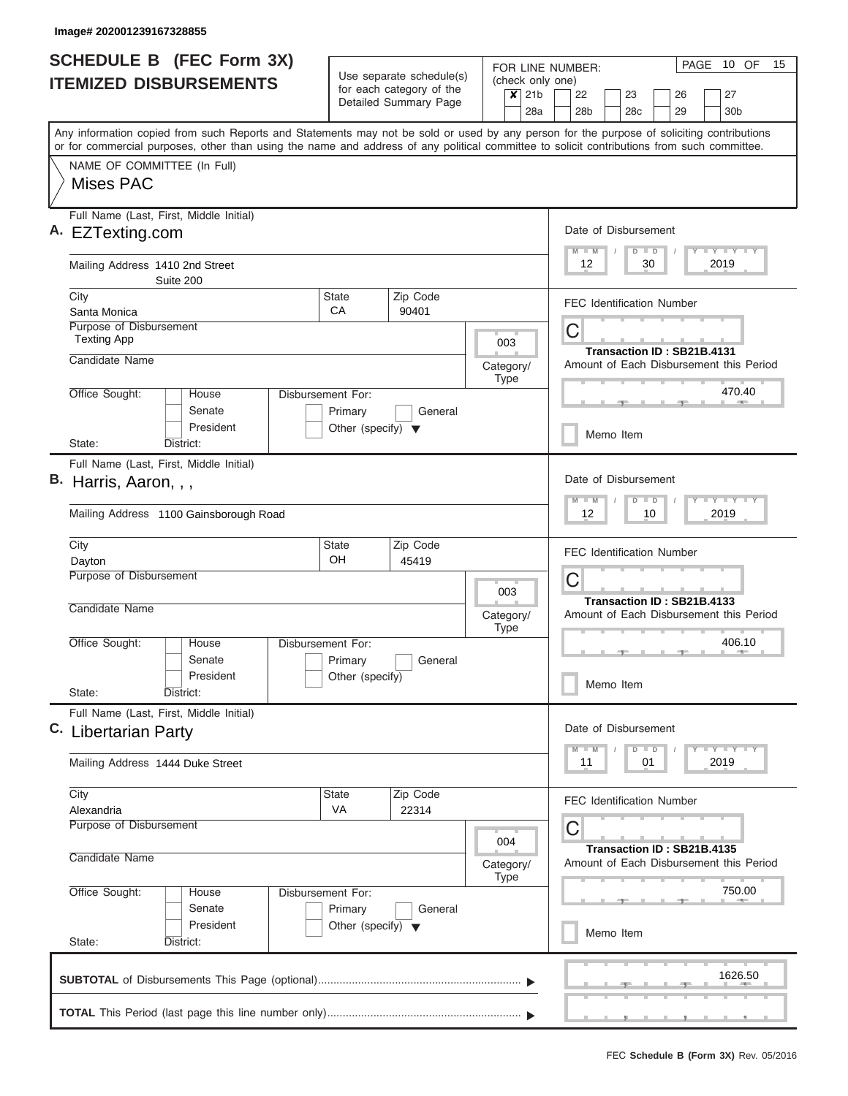| <b>SCHEDULE B (FEC Form 3X)</b><br><b>ITEMIZED DISBURSEMENTS</b> |                                                                                                                                                                                                                                                                                         | Use separate schedule(s)<br>for each category of the |                       |           | FOR LINE NUMBER:<br>(check only one)<br>21 <sub>b</sub><br>$\times$ |                          |          | 22<br>23<br>26                   |           |                                                                                 |                                  | PAGE | 10 OF<br>27                |  | 15                                                                            |  |  |
|------------------------------------------------------------------|-----------------------------------------------------------------------------------------------------------------------------------------------------------------------------------------------------------------------------------------------------------------------------------------|------------------------------------------------------|-----------------------|-----------|---------------------------------------------------------------------|--------------------------|----------|----------------------------------|-----------|---------------------------------------------------------------------------------|----------------------------------|------|----------------------------|--|-------------------------------------------------------------------------------|--|--|
|                                                                  |                                                                                                                                                                                                                                                                                         |                                                      | Detailed Summary Page |           |                                                                     | 28a                      |          | 28 <sub>b</sub>                  |           |                                                                                 | 28 <sub>c</sub>                  |      | 29                         |  | 30 <sub>b</sub>                                                               |  |  |
|                                                                  | Any information copied from such Reports and Statements may not be sold or used by any person for the purpose of soliciting contributions<br>or for commercial purposes, other than using the name and address of any political committee to solicit contributions from such committee. |                                                      |                       |           |                                                                     |                          |          |                                  |           |                                                                                 |                                  |      |                            |  |                                                                               |  |  |
|                                                                  | NAME OF COMMITTEE (In Full)<br>Mises PAC                                                                                                                                                                                                                                                |                                                      |                       |           |                                                                     |                          |          |                                  |           |                                                                                 |                                  |      |                            |  |                                                                               |  |  |
|                                                                  | Full Name (Last, First, Middle Initial)<br>A. EZTexting.com                                                                                                                                                                                                                             |                                                      |                       |           |                                                                     |                          |          | Date of Disbursement             |           |                                                                                 |                                  |      |                            |  | <b>LY LY LY</b>                                                               |  |  |
|                                                                  | Mailing Address 1410 2nd Street<br>Suite 200                                                                                                                                                                                                                                            |                                                      |                       |           |                                                                     |                          |          | $M$ $M$<br>12                    |           |                                                                                 | $D$ $D$<br>30                    |      |                            |  | 2019                                                                          |  |  |
|                                                                  | City<br>Santa Monica                                                                                                                                                                                                                                                                    | State<br>CA                                          | Zip Code<br>90401     |           |                                                                     |                          |          | <b>FEC Identification Number</b> |           |                                                                                 |                                  |      |                            |  |                                                                               |  |  |
|                                                                  | <b>Purpose of Disbursement</b><br><b>Texting App</b><br>Candidate Name                                                                                                                                                                                                                  |                                                      |                       |           | 003                                                                 |                          |          | C                                |           |                                                                                 |                                  |      | Transaction ID: SB21B.4131 |  |                                                                               |  |  |
|                                                                  | Office Sought:<br>Disbursement For:<br>House                                                                                                                                                                                                                                            |                                                      |                       | Category/ | <b>Type</b>                                                         |                          |          |                                  |           |                                                                                 |                                  |      |                            |  | Amount of Each Disbursement this Period<br>470.40                             |  |  |
|                                                                  | Senate<br>President                                                                                                                                                                                                                                                                     | Primary<br>Other (specify) $\blacktriangledown$      | General               |           |                                                                     |                          |          |                                  | Memo Item |                                                                                 |                                  |      |                            |  |                                                                               |  |  |
|                                                                  | State:<br>District:<br>Full Name (Last, First, Middle Initial)                                                                                                                                                                                                                          |                                                      |                       |           |                                                                     |                          |          |                                  |           |                                                                                 |                                  |      |                            |  |                                                                               |  |  |
|                                                                  | B. Harris, Aaron, , ,                                                                                                                                                                                                                                                                   |                                                      |                       |           |                                                                     |                          |          | Date of Disbursement<br>$M - M$  |           |                                                                                 | $\overline{D}$<br>$\blacksquare$ |      |                            |  | $T - Y$ $T - Y$ $T - Y$                                                       |  |  |
|                                                                  | Mailing Address 1100 Gainsborough Road                                                                                                                                                                                                                                                  |                                                      |                       |           |                                                                     |                          | 12<br>10 |                                  |           | 2019                                                                            |                                  |      |                            |  |                                                                               |  |  |
|                                                                  | City<br>Dayton                                                                                                                                                                                                                                                                          | <b>State</b><br>OH.                                  | Zip Code<br>45419     |           |                                                                     |                          |          | <b>FEC Identification Number</b> |           |                                                                                 |                                  |      |                            |  |                                                                               |  |  |
|                                                                  | Purpose of Disbursement<br>Candidate Name                                                                                                                                                                                                                                               |                                                      |                       |           | 003                                                                 |                          |          | C                                |           |                                                                                 |                                  |      | Transaction ID: SB21B.4133 |  |                                                                               |  |  |
|                                                                  | Office Sought:<br>Disbursement For:<br>House                                                                                                                                                                                                                                            |                                                      |                       | Category/ | Type                                                                |                          |          |                                  |           |                                                                                 |                                  |      |                            |  | Amount of Each Disbursement this Period<br>406.10                             |  |  |
|                                                                  | Senate<br>President                                                                                                                                                                                                                                                                     | Primary<br>Other (specify)                           | General               |           |                                                                     |                          |          |                                  | Memo Item |                                                                                 |                                  |      |                            |  |                                                                               |  |  |
|                                                                  | State:<br>District:                                                                                                                                                                                                                                                                     |                                                      |                       |           |                                                                     |                          |          |                                  |           |                                                                                 |                                  |      |                            |  |                                                                               |  |  |
|                                                                  | Full Name (Last, First, Middle Initial)<br>C. Libertarian Party                                                                                                                                                                                                                         |                                                      |                       |           |                                                                     |                          |          | Date of Disbursement<br>$M - M$  |           |                                                                                 | $D$ $D$                          |      |                            |  | $\mathbf{I}$ $\mathbf{Y}$ $\mathbf{I}$ $\mathbf{Y}$ $\mathbf{I}$ $\mathbf{Y}$ |  |  |
|                                                                  | Mailing Address 1444 Duke Street                                                                                                                                                                                                                                                        |                                                      |                       |           |                                                                     |                          |          | 11                               |           |                                                                                 | 01                               |      |                            |  | 2019                                                                          |  |  |
|                                                                  | City<br>Alexandria                                                                                                                                                                                                                                                                      | State<br>VA                                          | Zip Code<br>22314     |           |                                                                     |                          |          | FEC Identification Number        |           |                                                                                 |                                  |      |                            |  |                                                                               |  |  |
|                                                                  | Purpose of Disbursement                                                                                                                                                                                                                                                                 |                                                      |                       |           |                                                                     | 004                      |          |                                  |           |                                                                                 |                                  |      |                            |  |                                                                               |  |  |
|                                                                  | Candidate Name<br>Office Sought:<br>Disbursement For:                                                                                                                                                                                                                                   |                                                      |                       |           |                                                                     | Category/<br><b>Type</b> |          |                                  |           | Transaction ID: SB21B.4135<br>Amount of Each Disbursement this Period<br>750.00 |                                  |      |                            |  |                                                                               |  |  |
|                                                                  | House<br>Senate<br>President                                                                                                                                                                                                                                                            | Primary<br>Other (specify) $\blacktriangledown$      | General               |           |                                                                     |                          |          |                                  | Memo Item |                                                                                 |                                  |      |                            |  |                                                                               |  |  |
|                                                                  | State:<br>District:                                                                                                                                                                                                                                                                     |                                                      |                       |           |                                                                     |                          |          |                                  |           |                                                                                 |                                  |      |                            |  |                                                                               |  |  |
|                                                                  |                                                                                                                                                                                                                                                                                         |                                                      |                       |           |                                                                     |                          |          |                                  |           |                                                                                 |                                  |      |                            |  | 1626.50                                                                       |  |  |
|                                                                  |                                                                                                                                                                                                                                                                                         |                                                      |                       |           |                                                                     |                          |          |                                  |           |                                                                                 |                                  |      |                            |  |                                                                               |  |  |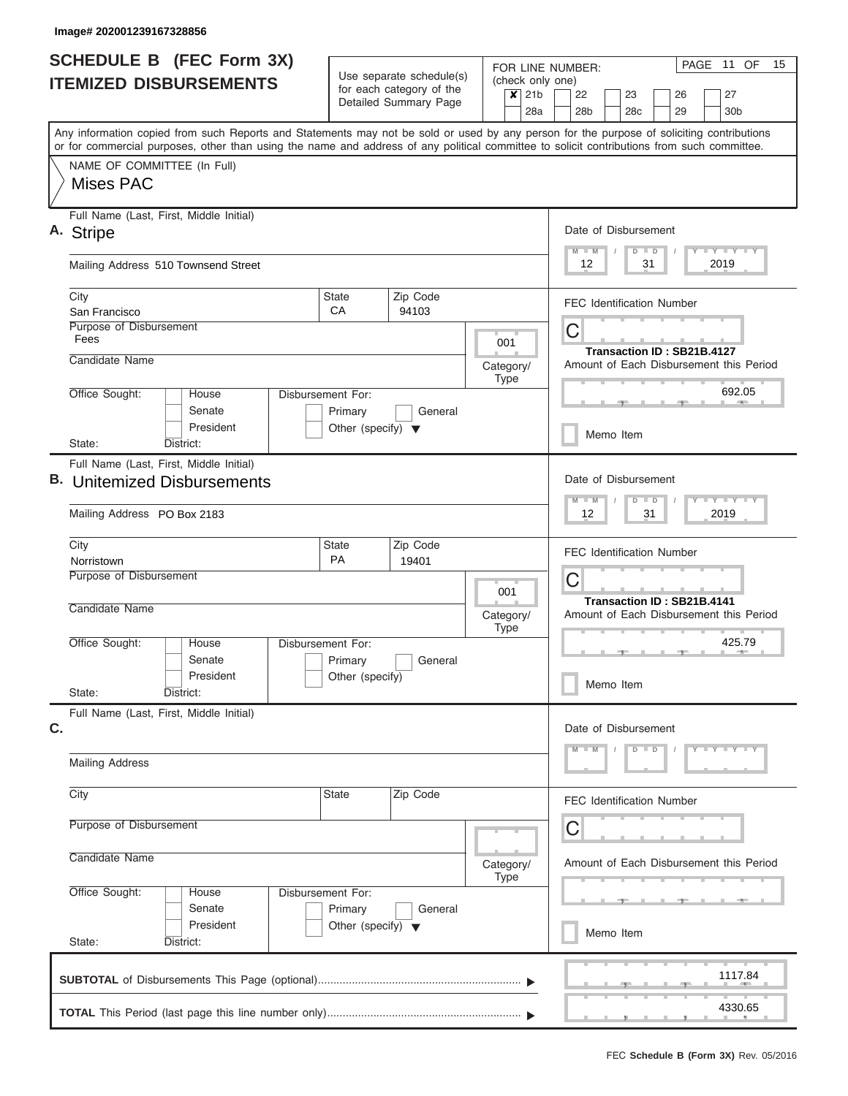| <b>SCHEDULE B (FEC Form 3X)</b>                                                                                                                                                                                                                                                         |                                                      |                                                                                                                         |                                         |                | PAGE 11 OF<br>15<br>FOR LINE NUMBER:                                                |  |  |  |  |
|-----------------------------------------------------------------------------------------------------------------------------------------------------------------------------------------------------------------------------------------------------------------------------------------|------------------------------------------------------|-------------------------------------------------------------------------------------------------------------------------|-----------------------------------------|----------------|-------------------------------------------------------------------------------------|--|--|--|--|
| <b>ITEMIZED DISBURSEMENTS</b>                                                                                                                                                                                                                                                           | Use separate schedule(s)<br>for each category of the |                                                                                                                         | (check only one)                        |                |                                                                                     |  |  |  |  |
|                                                                                                                                                                                                                                                                                         |                                                      | Detailed Summary Page                                                                                                   |                                         | $x$ 21b<br>28a | 22<br>23<br>27<br>26<br>28 <sub>b</sub><br>28 <sub>c</sub><br>29<br>30 <sub>b</sub> |  |  |  |  |
|                                                                                                                                                                                                                                                                                         |                                                      |                                                                                                                         |                                         |                |                                                                                     |  |  |  |  |
| Any information copied from such Reports and Statements may not be sold or used by any person for the purpose of soliciting contributions<br>or for commercial purposes, other than using the name and address of any political committee to solicit contributions from such committee. |                                                      |                                                                                                                         |                                         |                |                                                                                     |  |  |  |  |
| NAME OF COMMITTEE (In Full)                                                                                                                                                                                                                                                             |                                                      |                                                                                                                         |                                         |                |                                                                                     |  |  |  |  |
| <b>Mises PAC</b>                                                                                                                                                                                                                                                                        |                                                      |                                                                                                                         |                                         |                |                                                                                     |  |  |  |  |
| Full Name (Last, First, Middle Initial)<br>A. Stripe                                                                                                                                                                                                                                    | Date of Disbursement                                 |                                                                                                                         |                                         |                |                                                                                     |  |  |  |  |
|                                                                                                                                                                                                                                                                                         |                                                      |                                                                                                                         |                                         |                | Y LY LY LY<br>$D$ $D$<br>$M$ $M$                                                    |  |  |  |  |
| Mailing Address 510 Townsend Street                                                                                                                                                                                                                                                     |                                                      |                                                                                                                         |                                         |                | 2019<br>12<br>31                                                                    |  |  |  |  |
| City                                                                                                                                                                                                                                                                                    | State<br>CA                                          | Zip Code                                                                                                                |                                         |                | <b>FEC Identification Number</b>                                                    |  |  |  |  |
| San Francisco<br>Purpose of Disbursement                                                                                                                                                                                                                                                |                                                      | 94103                                                                                                                   |                                         |                |                                                                                     |  |  |  |  |
| Fees                                                                                                                                                                                                                                                                                    |                                                      |                                                                                                                         | 001                                     |                | C                                                                                   |  |  |  |  |
| Candidate Name                                                                                                                                                                                                                                                                          |                                                      |                                                                                                                         | Category/                               |                | Transaction ID: SB21B.4127<br>Amount of Each Disbursement this Period               |  |  |  |  |
|                                                                                                                                                                                                                                                                                         |                                                      |                                                                                                                         | Type                                    |                |                                                                                     |  |  |  |  |
| Office Sought:<br>House                                                                                                                                                                                                                                                                 | Disbursement For:                                    |                                                                                                                         |                                         |                | 692.05<br><b>STATE</b>                                                              |  |  |  |  |
| Senate<br>President                                                                                                                                                                                                                                                                     | Primary                                              | General                                                                                                                 |                                         |                |                                                                                     |  |  |  |  |
| State:<br>District:                                                                                                                                                                                                                                                                     | Other (specify) $\blacktriangledown$                 |                                                                                                                         |                                         |                | Memo Item                                                                           |  |  |  |  |
| Full Name (Last, First, Middle Initial)                                                                                                                                                                                                                                                 |                                                      |                                                                                                                         |                                         |                |                                                                                     |  |  |  |  |
| <b>B.</b> Unitemized Disbursements                                                                                                                                                                                                                                                      |                                                      | Date of Disbursement                                                                                                    |                                         |                |                                                                                     |  |  |  |  |
| Mailing Address PO Box 2183                                                                                                                                                                                                                                                             |                                                      | $\mathbf{I} = \mathbf{Y} - \mathbf{I} - \mathbf{Y} - \mathbf{I} - \mathbf{Y}$<br>$D$ $D$<br>$M - M$<br>12<br>31<br>2019 |                                         |                |                                                                                     |  |  |  |  |
|                                                                                                                                                                                                                                                                                         |                                                      |                                                                                                                         |                                         |                |                                                                                     |  |  |  |  |
| City<br>Norristown                                                                                                                                                                                                                                                                      | State<br><b>PA</b>                                   | Zip Code<br>19401                                                                                                       |                                         |                | <b>FEC Identification Number</b>                                                    |  |  |  |  |
| Purpose of Disbursement                                                                                                                                                                                                                                                                 |                                                      |                                                                                                                         |                                         |                | C                                                                                   |  |  |  |  |
|                                                                                                                                                                                                                                                                                         |                                                      |                                                                                                                         | 001                                     |                | Transaction ID: SB21B.4141                                                          |  |  |  |  |
| Candidate Name                                                                                                                                                                                                                                                                          |                                                      |                                                                                                                         | Category/<br>Type                       |                | Amount of Each Disbursement this Period                                             |  |  |  |  |
| Office Sought:<br>House                                                                                                                                                                                                                                                                 | Disbursement For:                                    |                                                                                                                         |                                         |                | 425.79                                                                              |  |  |  |  |
| Senate                                                                                                                                                                                                                                                                                  | Primary                                              | General                                                                                                                 |                                         |                | <b>AND</b>                                                                          |  |  |  |  |
| President                                                                                                                                                                                                                                                                               | Other (specify)                                      |                                                                                                                         |                                         |                | Memo Item                                                                           |  |  |  |  |
| State:<br>District:                                                                                                                                                                                                                                                                     |                                                      |                                                                                                                         |                                         |                |                                                                                     |  |  |  |  |
| Full Name (Last, First, Middle Initial)<br>C.                                                                                                                                                                                                                                           |                                                      |                                                                                                                         |                                         |                | Date of Disbursement                                                                |  |  |  |  |
|                                                                                                                                                                                                                                                                                         |                                                      |                                                                                                                         |                                         |                | $D$ $D$<br>$Y$ $Y$ $Y$ $Y$ $Y$<br>$M - M$                                           |  |  |  |  |
| <b>Mailing Address</b>                                                                                                                                                                                                                                                                  |                                                      |                                                                                                                         |                                         |                |                                                                                     |  |  |  |  |
| City                                                                                                                                                                                                                                                                                    | State                                                | Zip Code                                                                                                                |                                         |                | <b>FEC Identification Number</b>                                                    |  |  |  |  |
| Purpose of Disbursement                                                                                                                                                                                                                                                                 |                                                      |                                                                                                                         | С                                       |                |                                                                                     |  |  |  |  |
| Candidate Name                                                                                                                                                                                                                                                                          |                                                      |                                                                                                                         | Amount of Each Disbursement this Period |                |                                                                                     |  |  |  |  |
|                                                                                                                                                                                                                                                                                         | Category/<br><b>Type</b>                             |                                                                                                                         |                                         |                |                                                                                     |  |  |  |  |
| Office Sought:<br>House                                                                                                                                                                                                                                                                 | Disbursement For:                                    |                                                                                                                         |                                         |                |                                                                                     |  |  |  |  |
| Senate                                                                                                                                                                                                                                                                                  | Primary                                              | General                                                                                                                 |                                         |                |                                                                                     |  |  |  |  |
| President<br>State:<br>District:                                                                                                                                                                                                                                                        | Other (specify) $\blacktriangledown$                 |                                                                                                                         |                                         |                | Memo Item                                                                           |  |  |  |  |
|                                                                                                                                                                                                                                                                                         |                                                      |                                                                                                                         |                                         |                |                                                                                     |  |  |  |  |
|                                                                                                                                                                                                                                                                                         |                                                      |                                                                                                                         |                                         |                | 1117.84                                                                             |  |  |  |  |
|                                                                                                                                                                                                                                                                                         |                                                      |                                                                                                                         |                                         |                | 4330.65                                                                             |  |  |  |  |
|                                                                                                                                                                                                                                                                                         |                                                      |                                                                                                                         |                                         |                |                                                                                     |  |  |  |  |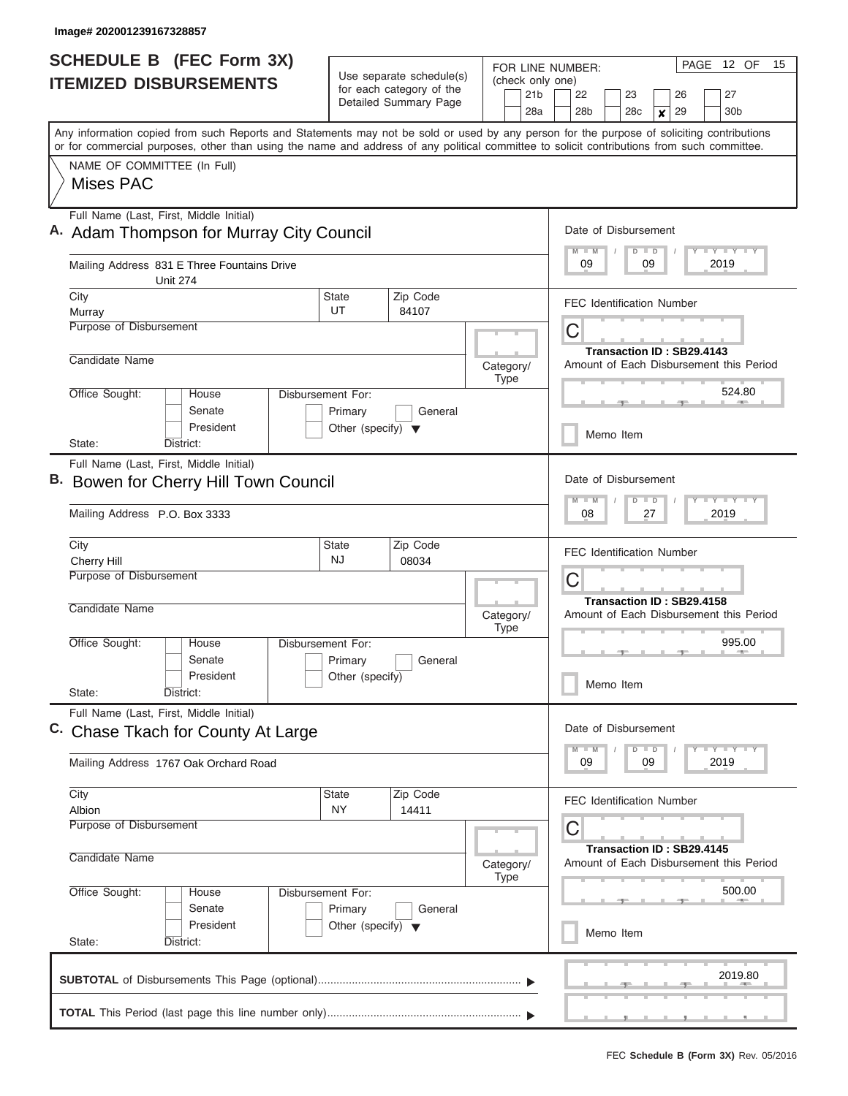I

| <b>SCHEDULE B (FEC Form 3X)</b><br><b>ITEMIZED DISBURSEMENTS</b> |                                                                                                                                                                                                                                                                                         | Use separate schedule(s)                                             |                                                                                                                                  | (check only one)                                                          | PAGE 12 OF<br>15<br>FOR LINE NUMBER:                                                                 |  |  |  |  |
|------------------------------------------------------------------|-----------------------------------------------------------------------------------------------------------------------------------------------------------------------------------------------------------------------------------------------------------------------------------------|----------------------------------------------------------------------|----------------------------------------------------------------------------------------------------------------------------------|---------------------------------------------------------------------------|------------------------------------------------------------------------------------------------------|--|--|--|--|
|                                                                  |                                                                                                                                                                                                                                                                                         |                                                                      | for each category of the<br>Detailed Summary Page                                                                                | 21 <sub>b</sub><br>28a                                                    | 23<br>26<br>27<br>22<br>28b<br>28 <sub>c</sub><br>29<br>30 <sub>b</sub><br>$\boldsymbol{x}$          |  |  |  |  |
|                                                                  | Any information copied from such Reports and Statements may not be sold or used by any person for the purpose of soliciting contributions<br>or for commercial purposes, other than using the name and address of any political committee to solicit contributions from such committee. |                                                                      |                                                                                                                                  |                                                                           |                                                                                                      |  |  |  |  |
|                                                                  | NAME OF COMMITTEE (In Full)<br>Mises PAC                                                                                                                                                                                                                                                |                                                                      |                                                                                                                                  |                                                                           |                                                                                                      |  |  |  |  |
|                                                                  | Full Name (Last, First, Middle Initial)<br>A. Adam Thompson for Murray City Council                                                                                                                                                                                                     | Date of Disbursement<br>Y L Y L Y L Y<br>$M - M$<br>$D$ $D$          |                                                                                                                                  |                                                                           |                                                                                                      |  |  |  |  |
|                                                                  | Mailing Address 831 E Three Fountains Drive<br><b>Unit 274</b>                                                                                                                                                                                                                          | 09<br>09<br>2019                                                     |                                                                                                                                  |                                                                           |                                                                                                      |  |  |  |  |
|                                                                  | City<br>Murray<br><b>Purpose of Disbursement</b>                                                                                                                                                                                                                                        | <b>State</b><br>UT                                                   | Zip Code<br>84107                                                                                                                |                                                                           | <b>FEC Identification Number</b>                                                                     |  |  |  |  |
|                                                                  | Candidate Name                                                                                                                                                                                                                                                                          |                                                                      | Category/                                                                                                                        | C<br>Transaction ID: SB29.4143<br>Amount of Each Disbursement this Period |                                                                                                      |  |  |  |  |
|                                                                  | Office Sought:<br>House<br>Senate<br>President                                                                                                                                                                                                                                          | Disbursement For:<br>Primary<br>Other (specify) $\blacktriangledown$ | General                                                                                                                          | Type                                                                      | 524.80<br>Memo Item                                                                                  |  |  |  |  |
|                                                                  | District:<br>State:<br>Full Name (Last, First, Middle Initial)<br>Bowen for Cherry Hill Town Council                                                                                                                                                                                    |                                                                      |                                                                                                                                  |                                                                           | Date of Disbursement                                                                                 |  |  |  |  |
|                                                                  | Mailing Address P.O. Box 3333                                                                                                                                                                                                                                                           |                                                                      | $\mathbf{I} = \mathbf{Y} - \mathbf{I} - \mathbf{Y} - \mathbf{I} - \mathbf{Y}$<br>$-M$<br>$\blacksquare$<br>D<br>08<br>27<br>2019 |                                                                           |                                                                                                      |  |  |  |  |
|                                                                  | City<br><b>State</b><br>Cherry Hill<br>Purpose of Disbursement                                                                                                                                                                                                                          | Zip Code<br>08034                                                    |                                                                                                                                  | <b>FEC Identification Number</b><br>C                                     |                                                                                                      |  |  |  |  |
|                                                                  | Candidate Name                                                                                                                                                                                                                                                                          |                                                                      | Category/<br><b>Type</b>                                                                                                         | Transaction ID: SB29.4158<br>Amount of Each Disbursement this Period      |                                                                                                      |  |  |  |  |
|                                                                  | Office Sought:<br>House<br>Senate<br>President<br>State:<br>District:                                                                                                                                                                                                                   | Disbursement For:<br>Primary<br>Other (specify)                      | General                                                                                                                          |                                                                           | 995.00<br>Memo Item                                                                                  |  |  |  |  |
|                                                                  | Full Name (Last, First, Middle Initial)<br>C. Chase Tkach for County At Large                                                                                                                                                                                                           |                                                                      |                                                                                                                                  |                                                                           | Date of Disbursement<br>$\Box$ $\Upsilon$ $\Box$ $\Upsilon$ $\Upsilon$ $\Upsilon$<br>$D$ $D$<br>$-M$ |  |  |  |  |
|                                                                  | Mailing Address 1767 Oak Orchard Road                                                                                                                                                                                                                                                   |                                                                      |                                                                                                                                  |                                                                           | 09<br>09<br>2019                                                                                     |  |  |  |  |
|                                                                  | City<br>Albion<br>Purpose of Disbursement                                                                                                                                                                                                                                               | <b>State</b><br>NY                                                   | Zip Code<br>14411                                                                                                                |                                                                           | <b>FEC Identification Number</b><br>С                                                                |  |  |  |  |
|                                                                  | Candidate Name                                                                                                                                                                                                                                                                          |                                                                      | Category/<br>Type                                                                                                                | Transaction ID: SB29.4145<br>Amount of Each Disbursement this Period      |                                                                                                      |  |  |  |  |
|                                                                  | Office Sought:<br>Disbursement For:<br>House<br>Senate<br>President                                                                                                                                                                                                                     | General<br>Other (specify) $\blacktriangledown$                      |                                                                                                                                  | 500.00<br>Memo Item                                                       |                                                                                                      |  |  |  |  |
|                                                                  | State:<br>District:                                                                                                                                                                                                                                                                     |                                                                      |                                                                                                                                  |                                                                           | 2019.80                                                                                              |  |  |  |  |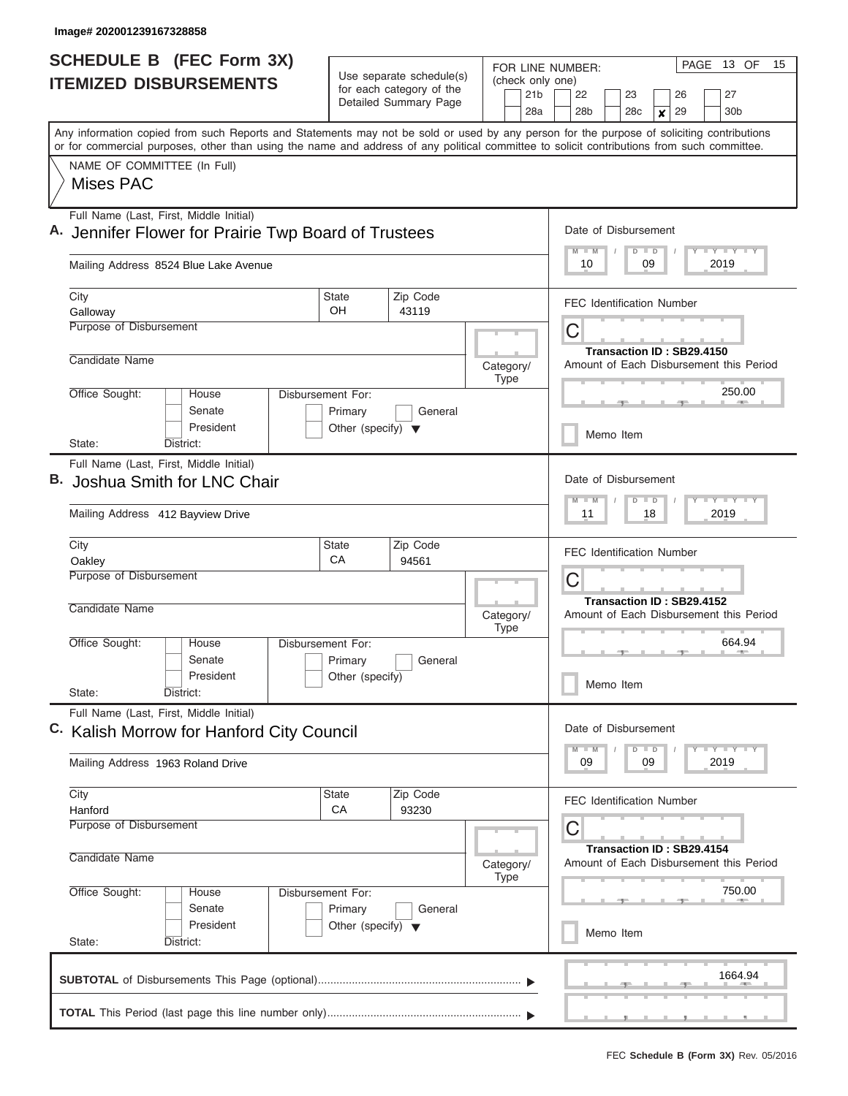| <b>SCHEDULE B (FEC Form 3X)</b><br><b>ITEMIZED DISBURSEMENTS</b>                                                                                                                                                                                                                        |                                                                      | Use separate schedule(s)<br>for each category of the<br>Detailed Summary Page | FOR LINE NUMBER:<br>(check only one)<br>21 <sub>b</sub><br>28a            | PAGE 13 OF<br>15<br>27<br>22<br>23<br>26<br>28 <sub>b</sub><br>28 <sub>c</sub><br>29<br>30 <sub>b</sub><br>x |  |  |  |
|-----------------------------------------------------------------------------------------------------------------------------------------------------------------------------------------------------------------------------------------------------------------------------------------|----------------------------------------------------------------------|-------------------------------------------------------------------------------|---------------------------------------------------------------------------|--------------------------------------------------------------------------------------------------------------|--|--|--|
| Any information copied from such Reports and Statements may not be sold or used by any person for the purpose of soliciting contributions<br>or for commercial purposes, other than using the name and address of any political committee to solicit contributions from such committee. |                                                                      |                                                                               |                                                                           |                                                                                                              |  |  |  |
| NAME OF COMMITTEE (In Full)<br>Mises PAC                                                                                                                                                                                                                                                |                                                                      |                                                                               |                                                                           |                                                                                                              |  |  |  |
| Full Name (Last, First, Middle Initial)                                                                                                                                                                                                                                                 | Jennifer Flower for Prairie Twp Board of Trustees                    |                                                                               |                                                                           |                                                                                                              |  |  |  |
| Mailing Address 8524 Blue Lake Avenue                                                                                                                                                                                                                                                   | 09<br>2019<br>10                                                     |                                                                               |                                                                           |                                                                                                              |  |  |  |
| City<br>Galloway                                                                                                                                                                                                                                                                        | <b>State</b><br>OH                                                   | Zip Code<br>43119                                                             |                                                                           | <b>FEC Identification Number</b>                                                                             |  |  |  |
| Purpose of Disbursement                                                                                                                                                                                                                                                                 |                                                                      |                                                                               |                                                                           | С<br>Transaction ID: SB29.4150                                                                               |  |  |  |
| Candidate Name                                                                                                                                                                                                                                                                          |                                                                      |                                                                               | Category/<br><b>Type</b>                                                  | Amount of Each Disbursement this Period                                                                      |  |  |  |
| Office Sought:<br>House<br>Senate<br>President                                                                                                                                                                                                                                          | Disbursement For:<br>Primary<br>Other (specify) $\blacktriangledown$ | General                                                                       |                                                                           | 250.00<br>Memo Item                                                                                          |  |  |  |
| District:<br>State:                                                                                                                                                                                                                                                                     |                                                                      |                                                                               |                                                                           |                                                                                                              |  |  |  |
| Joshua Smith for LNC Chair<br>Mailing Address 412 Bayview Drive                                                                                                                                                                                                                         | Full Name (Last, First, Middle Initial)                              |                                                                               |                                                                           |                                                                                                              |  |  |  |
| City<br>Oakley                                                                                                                                                                                                                                                                          | State<br>CA                                                          | Zip Code<br>94561                                                             |                                                                           | <b>FEC Identification Number</b>                                                                             |  |  |  |
| Purpose of Disbursement<br>Candidate Name                                                                                                                                                                                                                                               |                                                                      |                                                                               |                                                                           | C<br>Transaction ID: SB29.4152                                                                               |  |  |  |
| Office Sought:<br>House<br>Senate                                                                                                                                                                                                                                                       | Disbursement For:<br>Primary                                         | General                                                                       | Category/<br><b>Type</b>                                                  | Amount of Each Disbursement this Period<br>664.94                                                            |  |  |  |
| President<br>State:<br>District:                                                                                                                                                                                                                                                        | Other (specify)                                                      |                                                                               |                                                                           | Memo Item                                                                                                    |  |  |  |
| Full Name (Last, First, Middle Initial)<br>C. Kalish Morrow for Hanford City Council                                                                                                                                                                                                    | Date of Disbursement<br>$D$ $D$<br>$M - M$                           |                                                                               |                                                                           |                                                                                                              |  |  |  |
| Mailing Address 1963 Roland Drive                                                                                                                                                                                                                                                       |                                                                      |                                                                               |                                                                           | 09<br>2019<br>09                                                                                             |  |  |  |
| City<br>Hanford                                                                                                                                                                                                                                                                         | State<br>CA                                                          | Zip Code<br>93230                                                             |                                                                           | <b>FEC Identification Number</b>                                                                             |  |  |  |
| Purpose of Disbursement<br>Candidate Name                                                                                                                                                                                                                                               |                                                                      | Category/<br><b>Type</b>                                                      | С<br>Transaction ID: SB29.4154<br>Amount of Each Disbursement this Period |                                                                                                              |  |  |  |
| Office Sought:<br>House<br>Senate<br>President                                                                                                                                                                                                                                          | Disbursement For:<br>Primary<br>Other (specify) $\blacktriangledown$ | General                                                                       |                                                                           | 750.00<br>Memo Item                                                                                          |  |  |  |
| State:<br>District:                                                                                                                                                                                                                                                                     |                                                                      |                                                                               |                                                                           |                                                                                                              |  |  |  |
|                                                                                                                                                                                                                                                                                         |                                                                      |                                                                               |                                                                           | 1664.94                                                                                                      |  |  |  |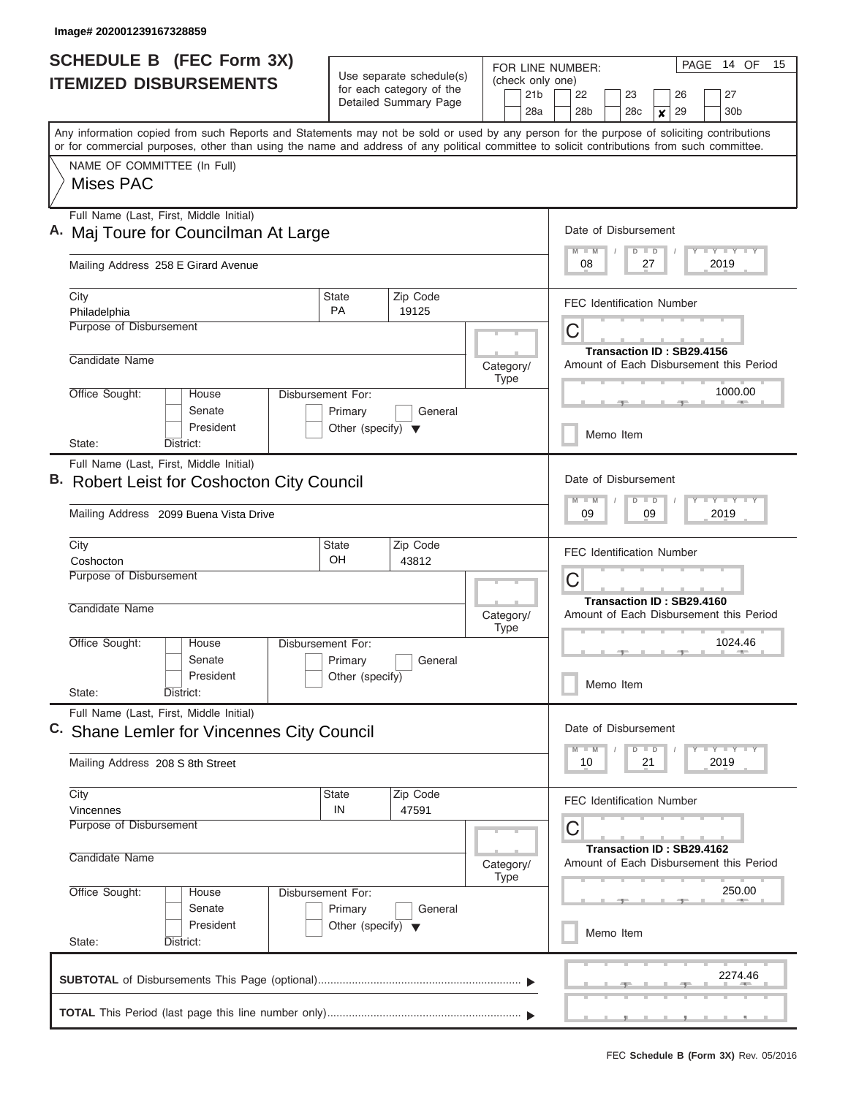I

| <b>SCHEDULE B (FEC Form 3X)</b>                                                                                                                                                                                                                                                         |                                                                      | Use separate schedule(s)                          | (check only one)                                                          | PAGE 14 OF<br>15<br>FOR LINE NUMBER:                                                                                    |  |  |  |  |  |
|-----------------------------------------------------------------------------------------------------------------------------------------------------------------------------------------------------------------------------------------------------------------------------------------|----------------------------------------------------------------------|---------------------------------------------------|---------------------------------------------------------------------------|-------------------------------------------------------------------------------------------------------------------------|--|--|--|--|--|
| <b>ITEMIZED DISBURSEMENTS</b>                                                                                                                                                                                                                                                           |                                                                      | for each category of the<br>Detailed Summary Page | 21 <sub>b</sub><br>28a                                                    | 22<br>23<br>26<br>27<br>28 <sub>b</sub><br>29<br>28 <sub>c</sub><br>30 <sub>b</sub><br>$\boldsymbol{x}$                 |  |  |  |  |  |
| Any information copied from such Reports and Statements may not be sold or used by any person for the purpose of soliciting contributions<br>or for commercial purposes, other than using the name and address of any political committee to solicit contributions from such committee. |                                                                      |                                                   |                                                                           |                                                                                                                         |  |  |  |  |  |
| NAME OF COMMITTEE (In Full)<br>Mises PAC                                                                                                                                                                                                                                                |                                                                      |                                                   |                                                                           |                                                                                                                         |  |  |  |  |  |
| Full Name (Last, First, Middle Initial)                                                                                                                                                                                                                                                 | Maj Toure for Councilman At Large                                    |                                                   |                                                                           |                                                                                                                         |  |  |  |  |  |
| Mailing Address 258 E Girard Avenue                                                                                                                                                                                                                                                     | 2019<br>08<br>27                                                     |                                                   |                                                                           |                                                                                                                         |  |  |  |  |  |
| City<br>Philadelphia                                                                                                                                                                                                                                                                    | <b>State</b><br><b>PA</b>                                            | Zip Code<br>19125                                 |                                                                           | <b>FEC Identification Number</b>                                                                                        |  |  |  |  |  |
| Purpose of Disbursement                                                                                                                                                                                                                                                                 |                                                                      |                                                   |                                                                           | C<br>Transaction ID: SB29.4156                                                                                          |  |  |  |  |  |
| Candidate Name                                                                                                                                                                                                                                                                          |                                                                      |                                                   | Category/<br>Type                                                         | Amount of Each Disbursement this Period                                                                                 |  |  |  |  |  |
| Office Sought:<br>House<br>Senate<br>President                                                                                                                                                                                                                                          | Disbursement For:<br>Primary<br>Other (specify) $\blacktriangledown$ | General                                           |                                                                           | 1000.00<br>Memo Item                                                                                                    |  |  |  |  |  |
| District:<br>State:                                                                                                                                                                                                                                                                     |                                                                      |                                                   |                                                                           |                                                                                                                         |  |  |  |  |  |
| Full Name (Last, First, Middle Initial)<br><b>Robert Leist for Coshocton City Council</b><br>Mailing Address 2099 Buena Vista Drive                                                                                                                                                     |                                                                      |                                                   |                                                                           | Date of Disbursement<br>Y FY FY FY<br>$M - M$<br>$D$ $D$<br>09<br>09<br>2019                                            |  |  |  |  |  |
| City<br>Coshocton                                                                                                                                                                                                                                                                       | <b>State</b><br>OH                                                   | Zip Code<br>43812                                 |                                                                           | <b>FEC Identification Number</b>                                                                                        |  |  |  |  |  |
| Purpose of Disbursement                                                                                                                                                                                                                                                                 |                                                                      |                                                   |                                                                           | C<br>Transaction ID: SB29.4160                                                                                          |  |  |  |  |  |
| Candidate Name                                                                                                                                                                                                                                                                          |                                                                      |                                                   | Category/<br><b>Type</b>                                                  | Amount of Each Disbursement this Period                                                                                 |  |  |  |  |  |
| Office Sought:<br>House<br>Senate                                                                                                                                                                                                                                                       | <b>Disbursement For:</b><br>Primary                                  | General                                           |                                                                           | 1024.46                                                                                                                 |  |  |  |  |  |
| President<br>State:<br>District:                                                                                                                                                                                                                                                        | Other (specify)                                                      |                                                   |                                                                           | Memo Item                                                                                                               |  |  |  |  |  |
| Full Name (Last, First, Middle Initial)<br>C. Shane Lemler for Vincennes City Council                                                                                                                                                                                                   | Date of Disbursement                                                 |                                                   |                                                                           |                                                                                                                         |  |  |  |  |  |
| Mailing Address 208 S 8th Street                                                                                                                                                                                                                                                        |                                                                      |                                                   |                                                                           | $\mathbf{I}$ $\mathbf{Y}$ $\mathbf{I}$ $\mathbf{Y}$ $\mathbf{I}$ $\mathbf{Y}$<br>$M - M$<br>$D$ $D$<br>2019<br>10<br>21 |  |  |  |  |  |
| City<br>Vincennes                                                                                                                                                                                                                                                                       | <b>State</b><br>IN                                                   | Zip Code<br>47591                                 |                                                                           | <b>FEC Identification Number</b>                                                                                        |  |  |  |  |  |
| Purpose of Disbursement<br>Candidate Name                                                                                                                                                                                                                                               |                                                                      | Category/<br>Type                                 | C<br>Transaction ID: SB29.4162<br>Amount of Each Disbursement this Period |                                                                                                                         |  |  |  |  |  |
| Office Sought:<br>House<br>Senate<br>President                                                                                                                                                                                                                                          | Disbursement For:<br>Primary<br>Other (specify) $\blacktriangledown$ | General                                           |                                                                           | 250.00                                                                                                                  |  |  |  |  |  |
| State:<br>District:                                                                                                                                                                                                                                                                     |                                                                      |                                                   |                                                                           | Memo Item                                                                                                               |  |  |  |  |  |
|                                                                                                                                                                                                                                                                                         |                                                                      |                                                   |                                                                           | 2274.46                                                                                                                 |  |  |  |  |  |